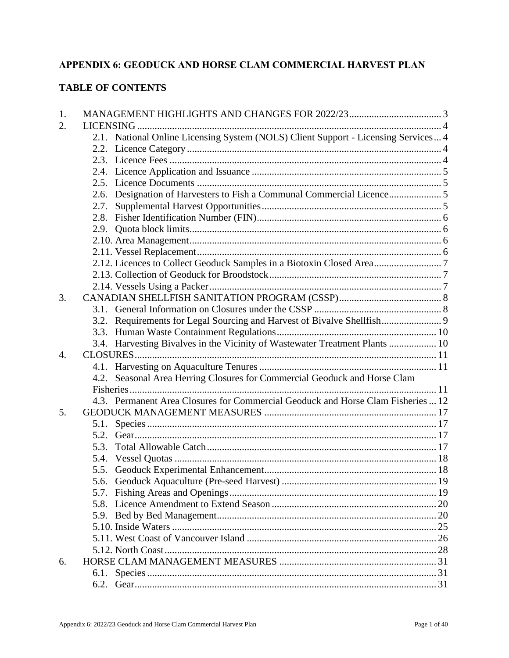# APPENDIX 6: GEODUCK AND HORSE CLAM COMMERCIAL HARVEST PLAN

# **TABLE OF CONTENTS**

| 1.<br>2.         |      |                                                                                    |  |
|------------------|------|------------------------------------------------------------------------------------|--|
|                  |      | 2.1. National Online Licensing System (NOLS) Client Support - Licensing Services 4 |  |
|                  |      |                                                                                    |  |
|                  |      |                                                                                    |  |
|                  |      |                                                                                    |  |
|                  |      |                                                                                    |  |
|                  | 2.6. |                                                                                    |  |
|                  | 2.7. |                                                                                    |  |
|                  | 2.8. |                                                                                    |  |
|                  |      |                                                                                    |  |
|                  |      |                                                                                    |  |
|                  |      |                                                                                    |  |
|                  |      |                                                                                    |  |
|                  |      |                                                                                    |  |
|                  |      |                                                                                    |  |
| 3.               |      |                                                                                    |  |
|                  |      |                                                                                    |  |
|                  |      | 3.2. Requirements for Legal Sourcing and Harvest of Bivalve Shellfish 9            |  |
|                  |      |                                                                                    |  |
|                  |      | 3.4. Harvesting Bivalves in the Vicinity of Wastewater Treatment Plants  10        |  |
| $\overline{4}$ . |      |                                                                                    |  |
|                  |      |                                                                                    |  |
|                  |      | 4.2. Seasonal Area Herring Closures for Commercial Geoduck and Horse Clam          |  |
|                  |      |                                                                                    |  |
|                  |      | 4.3. Permanent Area Closures for Commercial Geoduck and Horse Clam Fisheries  12   |  |
| 5.               |      |                                                                                    |  |
|                  |      |                                                                                    |  |
|                  |      |                                                                                    |  |
|                  | 5.3. |                                                                                    |  |
|                  |      |                                                                                    |  |
|                  |      |                                                                                    |  |
|                  |      |                                                                                    |  |
|                  | 5.7. |                                                                                    |  |
|                  |      |                                                                                    |  |
|                  |      |                                                                                    |  |
|                  |      |                                                                                    |  |
|                  |      |                                                                                    |  |
|                  |      |                                                                                    |  |
| 6.               |      |                                                                                    |  |
|                  |      |                                                                                    |  |
|                  |      |                                                                                    |  |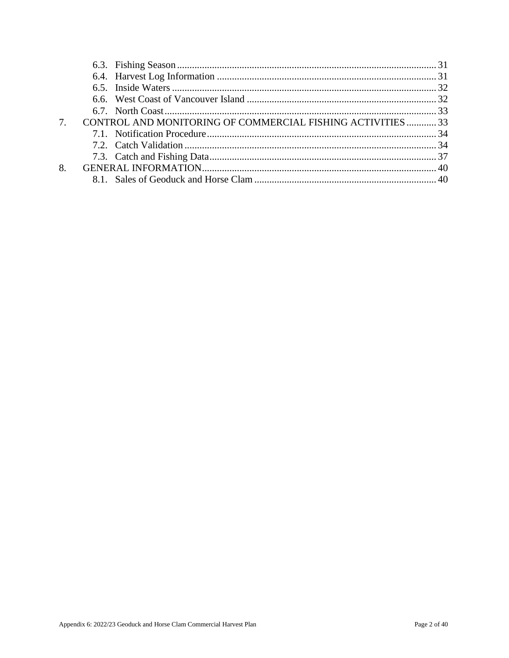|    | CONTROL AND MONITORING OF COMMERCIAL FISHING ACTIVITIES  33 |  |
|----|-------------------------------------------------------------|--|
|    |                                                             |  |
|    |                                                             |  |
|    |                                                             |  |
| 8. |                                                             |  |
|    |                                                             |  |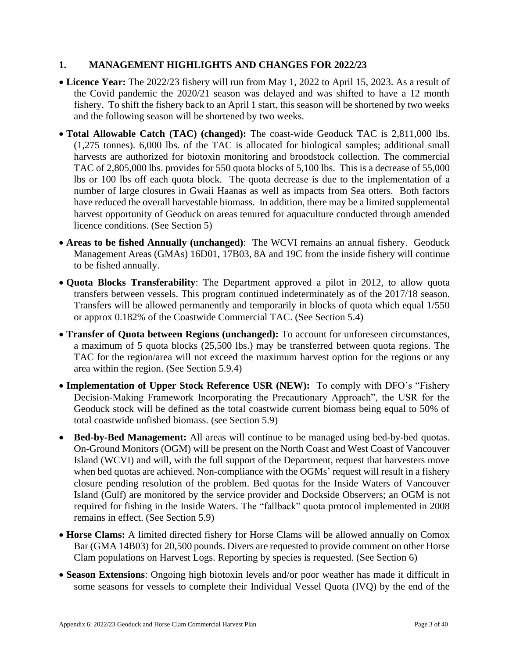## **1. MANAGEMENT HIGHLIGHTS AND CHANGES FOR 2022/23**

- **Licence Year:** The 2022/23 fishery will run from May 1, 2022 to April 15, 2023. As a result of the Covid pandemic the 2020/21 season was delayed and was shifted to have a 12 month fishery. To shift the fishery back to an April 1 start, this season will be shortened by two weeks and the following season will be shortened by two weeks.
- **Total Allowable Catch (TAC) (changed):** The coast-wide Geoduck TAC is 2,811,000 lbs. (1,275 tonnes). 6,000 lbs. of the TAC is allocated for biological samples; additional small harvests are authorized for biotoxin monitoring and broodstock collection. The commercial TAC of 2,805,000 lbs. provides for 550 quota blocks of 5,100 lbs. This is a decrease of 55,000 lbs or 100 lbs off each quota block. The quota decrease is due to the implementation of a number of large closures in Gwaii Haanas as well as impacts from Sea otters. Both factors have reduced the overall harvestable biomass. In addition, there may be a limited supplemental harvest opportunity of Geoduck on areas tenured for aquaculture conducted through amended licence conditions. (See Section 5)
- **Areas to be fished Annually (unchanged)**: The WCVI remains an annual fishery. Geoduck Management Areas (GMAs) 16D01, 17B03, 8A and 19C from the inside fishery will continue to be fished annually.
- **Quota Blocks Transferability**: The Department approved a pilot in 2012, to allow quota transfers between vessels. This program continued indeterminately as of the 2017/18 season. Transfers will be allowed permanently and temporarily in blocks of quota which equal 1/550 or approx 0.182% of the Coastwide Commercial TAC. (See Section 5.4)
- **Transfer of Quota between Regions (unchanged):** To account for unforeseen circumstances, a maximum of 5 quota blocks (25,500 lbs.) may be transferred between quota regions. The TAC for the region/area will not exceed the maximum harvest option for the regions or any area within the region. (See Section 5.9.4)
- **Implementation of Upper Stock Reference USR (NEW):** To comply with DFO's "Fishery Decision-Making Framework Incorporating the Precautionary Approach", the USR for the Geoduck stock will be defined as the total coastwide current biomass being equal to 50% of total coastwide unfished biomass. (see Section 5.9)
- **Bed-by-Bed Management:** All areas will continue to be managed using bed-by-bed quotas. On-Ground Monitors (OGM) will be present on the North Coast and West Coast of Vancouver Island (WCVI) and will, with the full support of the Department, request that harvesters move when bed quotas are achieved. Non-compliance with the OGMs' request will result in a fishery closure pending resolution of the problem. Bed quotas for the Inside Waters of Vancouver Island (Gulf) are monitored by the service provider and Dockside Observers; an OGM is not required for fishing in the Inside Waters. The "fallback" quota protocol implemented in 2008 remains in effect. (See Section 5.9)
- **Horse Clams:** A limited directed fishery for Horse Clams will be allowed annually on Comox Bar (GMA 14B03) for 20,500 pounds. Divers are requested to provide comment on other Horse Clam populations on Harvest Logs. Reporting by species is requested. (See Section 6)
- **Season Extensions**: Ongoing high biotoxin levels and/or poor weather has made it difficult in some seasons for vessels to complete their Individual Vessel Quota (IVQ) by the end of the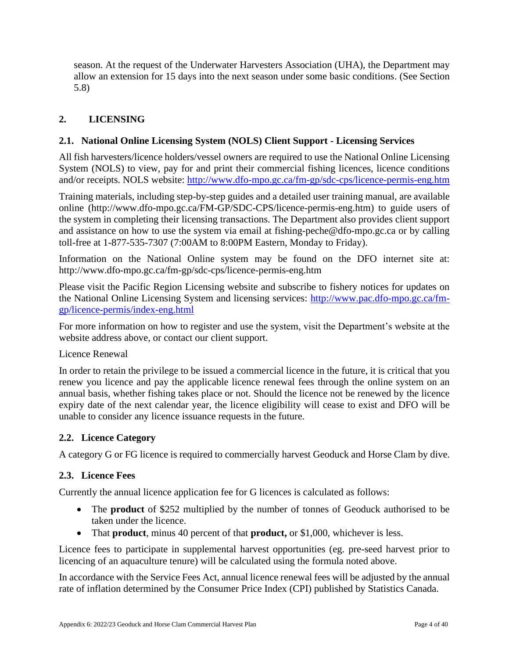season. At the request of the Underwater Harvesters Association (UHA), the Department may allow an extension for 15 days into the next season under some basic conditions. (See Section 5.8)

# **2. LICENSING**

# **2.1. National Online Licensing System (NOLS) Client Support - Licensing Services**

All fish harvesters/licence holders/vessel owners are required to use the National Online Licensing System (NOLS) to view, pay for and print their commercial fishing licences, licence conditions and/or receipts. NOLS website:<http://www.dfo-mpo.gc.ca/fm-gp/sdc-cps/licence-permis-eng.htm>

Training materials, including step-by-step guides and a detailed user training manual, are available online [\(http://www.dfo-mpo.gc.ca/FM-GP/SDC-CPS/licence-permis-eng.htm\)](http://www.dfo-mpo.gc.ca/FM-GP/SDC-CPS/licence-permis-eng.htm) to guide users of the system in completing their licensing transactions. The Department also provides client support and assistance on how to use the system via email at [fishing-peche@dfo-mpo.gc.ca](mailto:fishing-peche@dfo-mpo.gc.ca) or by calling toll-free at 1-877-535-7307 (7:00AM to 8:00PM Eastern, Monday to Friday).

Information on the National Online system may be found on the DFO internet site at: <http://www.dfo-mpo.gc.ca/fm-gp/sdc-cps/licence-permis-eng.htm>

Please visit the Pacific Region Licensing website and subscribe to fishery notices for updates on the National Online Licensing System and licensing services: [http://www.pac.dfo-mpo.gc.ca/fm](http://www.pac.dfo-mpo.gc.ca/fm-gp/licence-permis/index-eng.html)[gp/licence-permis/index-eng.html](http://www.pac.dfo-mpo.gc.ca/fm-gp/licence-permis/index-eng.html)

For more information on how to register and use the system, visit the Department's website at the website address above, or contact our client support.

Licence Renewal

In order to retain the privilege to be issued a commercial licence in the future, it is critical that you renew you licence and pay the applicable licence renewal fees through the online system on an annual basis, whether fishing takes place or not. Should the licence not be renewed by the licence expiry date of the next calendar year, the licence eligibility will cease to exist and DFO will be unable to consider any licence issuance requests in the future.

# **2.2. Licence Category**

A category G or FG licence is required to commercially harvest Geoduck and Horse Clam by dive.

# **2.3. Licence Fees**

Currently the annual licence application fee for G licences is calculated as follows:

- The **product** of \$252 multiplied by the number of tonnes of Geoduck authorised to be taken under the licence.
- That **product**, minus 40 percent of that **product,** or \$1,000, whichever is less.

Licence fees to participate in supplemental harvest opportunities (eg. pre-seed harvest prior to licencing of an aquaculture tenure) will be calculated using the formula noted above.

In accordance with the Service Fees Act, annual licence renewal fees will be adjusted by the annual rate of inflation determined by the Consumer Price Index (CPI) published by Statistics Canada.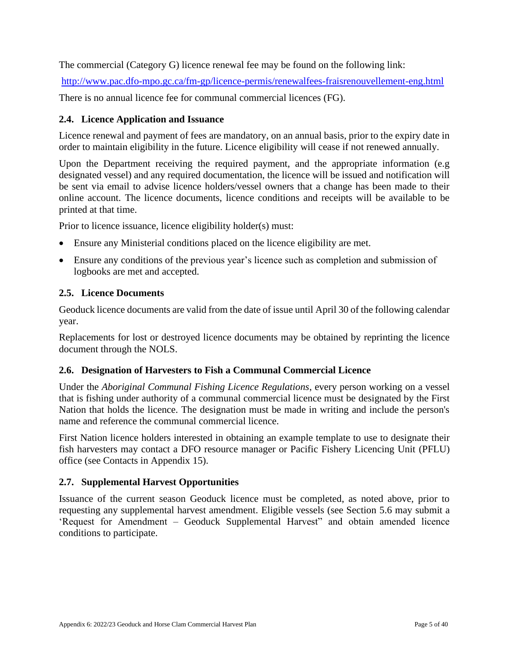The commercial (Category G) licence renewal fee may be found on the following link:

<http://www.pac.dfo-mpo.gc.ca/fm-gp/licence-permis/renewalfees-fraisrenouvellement-eng.html>

There is no annual licence fee for communal commercial licences (FG).

# **2.4. Licence Application and Issuance**

Licence renewal and payment of fees are mandatory, on an annual basis, prior to the expiry date in order to maintain eligibility in the future. Licence eligibility will cease if not renewed annually.

Upon the Department receiving the required payment, and the appropriate information (e.g designated vessel) and any required documentation, the licence will be issued and notification will be sent via email to advise licence holders/vessel owners that a change has been made to their online account. The licence documents, licence conditions and receipts will be available to be printed at that time.

Prior to licence issuance, licence eligibility holder(s) must:

- Ensure any Ministerial conditions placed on the licence eligibility are met.
- Ensure any conditions of the previous year's licence such as completion and submission of logbooks are met and accepted.

# **2.5. Licence Documents**

Geoduck licence documents are valid from the date of issue until April 30 of the following calendar year.

Replacements for lost or destroyed licence documents may be obtained by reprinting the licence document through the NOLS.

# **2.6. Designation of Harvesters to Fish a Communal Commercial Licence**

Under the *Aboriginal Communal Fishing Licence Regulations*, every person working on a vessel that is fishing under authority of a communal commercial licence must be designated by the First Nation that holds the licence. The designation must be made in writing and include the person's name and reference the communal commercial licence.

First Nation licence holders interested in obtaining an example template to use to designate their fish harvesters may contact a DFO resource manager or Pacific Fishery Licencing Unit (PFLU) office (see Contacts in Appendix 15).

# **2.7. Supplemental Harvest Opportunities**

Issuance of the current season Geoduck licence must be completed, as noted above, prior to requesting any supplemental harvest amendment. Eligible vessels (see Section 5.6 may submit a 'Request for Amendment – Geoduck Supplemental Harvest" and obtain amended licence conditions to participate.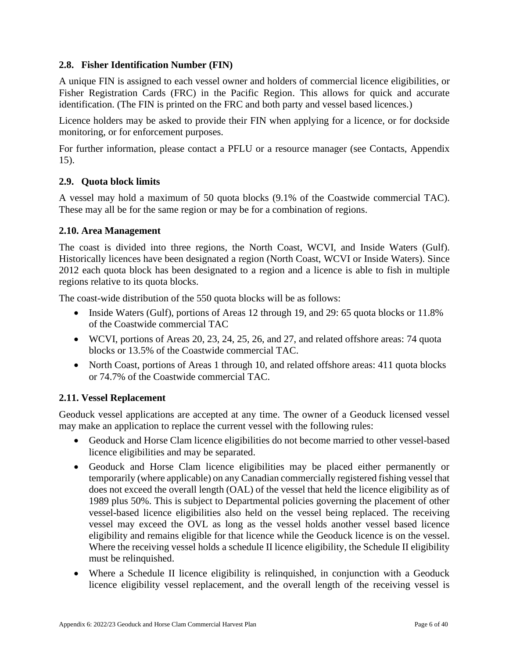## **2.8. Fisher Identification Number (FIN)**

A unique FIN is assigned to each vessel owner and holders of commercial licence eligibilities, or Fisher Registration Cards (FRC) in the Pacific Region. This allows for quick and accurate identification. (The FIN is printed on the FRC and both party and vessel based licences.)

Licence holders may be asked to provide their FIN when applying for a licence, or for dockside monitoring, or for enforcement purposes.

For further information, please contact a PFLU or a resource manager (see Contacts, Appendix 15).

## **2.9. Quota block limits**

A vessel may hold a maximum of 50 quota blocks (9.1% of the Coastwide commercial TAC). These may all be for the same region or may be for a combination of regions.

## **2.10. Area Management**

The coast is divided into three regions, the North Coast, WCVI, and Inside Waters (Gulf). Historically licences have been designated a region (North Coast, WCVI or Inside Waters). Since 2012 each quota block has been designated to a region and a licence is able to fish in multiple regions relative to its quota blocks.

The coast-wide distribution of the 550 quota blocks will be as follows:

- Inside Waters (Gulf), portions of Areas 12 through 19, and 29: 65 quota blocks or 11.8% of the Coastwide commercial TAC
- WCVI, portions of Areas 20, 23, 24, 25, 26, and 27, and related offshore areas: 74 quota blocks or 13.5% of the Coastwide commercial TAC.
- North Coast, portions of Areas 1 through 10, and related offshore areas: 411 quota blocks or 74.7% of the Coastwide commercial TAC.

# **2.11. Vessel Replacement**

Geoduck vessel applications are accepted at any time. The owner of a Geoduck licensed vessel may make an application to replace the current vessel with the following rules:

- Geoduck and Horse Clam licence eligibilities do not become married to other vessel-based licence eligibilities and may be separated.
- Geoduck and Horse Clam licence eligibilities may be placed either permanently or temporarily (where applicable) on any Canadian commercially registered fishing vessel that does not exceed the overall length (OAL) of the vessel that held the licence eligibility as of 1989 plus 50%. This is subject to Departmental policies governing the placement of other vessel-based licence eligibilities also held on the vessel being replaced. The receiving vessel may exceed the OVL as long as the vessel holds another vessel based licence eligibility and remains eligible for that licence while the Geoduck licence is on the vessel. Where the receiving vessel holds a schedule II licence eligibility, the Schedule II eligibility must be relinquished.
- Where a Schedule II licence eligibility is relinquished, in conjunction with a Geoduck licence eligibility vessel replacement, and the overall length of the receiving vessel is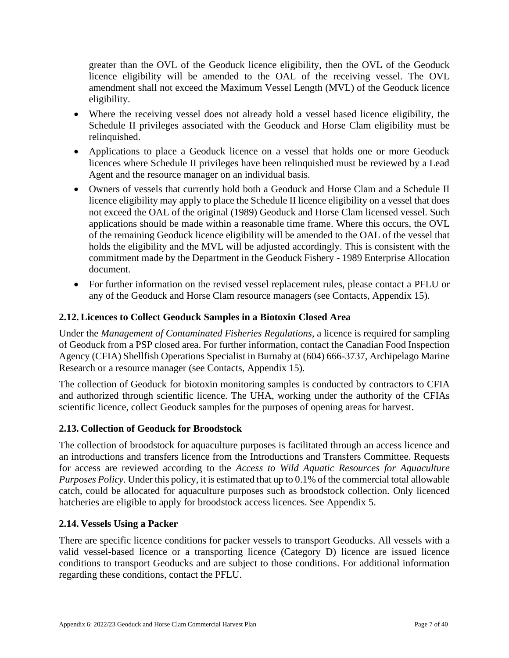greater than the OVL of the Geoduck licence eligibility, then the OVL of the Geoduck licence eligibility will be amended to the OAL of the receiving vessel. The OVL amendment shall not exceed the Maximum Vessel Length (MVL) of the Geoduck licence eligibility.

- Where the receiving vessel does not already hold a vessel based licence eligibility, the Schedule II privileges associated with the Geoduck and Horse Clam eligibility must be relinquished.
- Applications to place a Geoduck licence on a vessel that holds one or more Geoduck licences where Schedule II privileges have been relinquished must be reviewed by a Lead Agent and the resource manager on an individual basis.
- Owners of vessels that currently hold both a Geoduck and Horse Clam and a Schedule II licence eligibility may apply to place the Schedule II licence eligibility on a vessel that does not exceed the OAL of the original (1989) Geoduck and Horse Clam licensed vessel. Such applications should be made within a reasonable time frame. Where this occurs, the OVL of the remaining Geoduck licence eligibility will be amended to the OAL of the vessel that holds the eligibility and the MVL will be adjusted accordingly. This is consistent with the commitment made by the Department in the Geoduck Fishery - 1989 Enterprise Allocation document.
- For further information on the revised vessel replacement rules, please contact a PFLU or any of the Geoduck and Horse Clam resource managers (see Contacts, Appendix 15).

# **2.12. Licences to Collect Geoduck Samples in a Biotoxin Closed Area**

Under the *Management of Contaminated Fisheries Regulations*, a licence is required for sampling of Geoduck from a PSP closed area. For further information, contact the Canadian Food Inspection Agency (CFIA) Shellfish Operations Specialist in Burnaby at (604) 666-3737, Archipelago Marine Research or a resource manager (see Contacts, Appendix 15).

The collection of Geoduck for biotoxin monitoring samples is conducted by contractors to CFIA and authorized through scientific licence. The UHA, working under the authority of the CFIAs scientific licence, collect Geoduck samples for the purposes of opening areas for harvest.

## **2.13. Collection of Geoduck for Broodstock**

The collection of broodstock for aquaculture purposes is facilitated through an access licence and an introductions and transfers licence from the Introductions and Transfers Committee. Requests for access are reviewed according to the *Access to Wild Aquatic Resources for Aquaculture Purposes Policy*. Under this policy, it is estimated that up to 0.1% of the commercial total allowable catch, could be allocated for aquaculture purposes such as broodstock collection. Only licenced hatcheries are eligible to apply for broodstock access licences. See Appendix 5.

## **2.14. Vessels Using a Packer**

There are specific licence conditions for packer vessels to transport Geoducks. All vessels with a valid vessel-based licence or a transporting licence (Category D) licence are issued licence conditions to transport Geoducks and are subject to those conditions. For additional information regarding these conditions, contact the PFLU.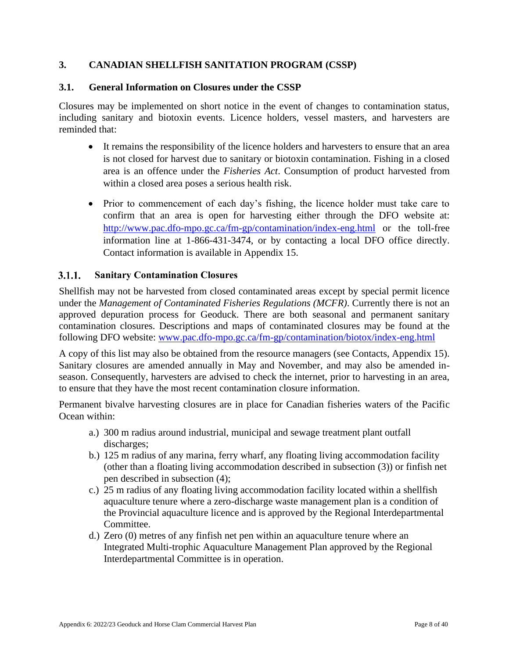# **3. CANADIAN SHELLFISH SANITATION PROGRAM (CSSP)**

## **3.1. General Information on Closures under the CSSP**

Closures may be implemented on short notice in the event of changes to contamination status, including sanitary and biotoxin events. Licence holders, vessel masters, and harvesters are reminded that:

- It remains the responsibility of the licence holders and harvesters to ensure that an area is not closed for harvest due to sanitary or biotoxin contamination. Fishing in a closed area is an offence under the *Fisheries Act*. Consumption of product harvested from within a closed area poses a serious health risk.
- Prior to commencement of each day's fishing, the licence holder must take care to confirm that an area is open for harvesting either through the DFO website at: <http://www.pac.dfo-mpo.gc.ca/fm-gp/contamination/index-eng.html> or the toll-free information line at 1-866-431-3474, or by contacting a local DFO office directly. Contact information is available in Appendix 15.

#### $3.1.1.$ **Sanitary Contamination Closures**

Shellfish may not be harvested from closed contaminated areas except by special permit licence under the *Management of Contaminated Fisheries Regulations (MCFR)*. Currently there is not an approved depuration process for Geoduck. There are both seasonal and permanent sanitary contamination closures. Descriptions and maps of contaminated closures may be found at the following DFO website: [www.pac.dfo-mpo.gc.ca/fm-gp/contamination/biotox/index-eng.html](http://www.pac.dfo-mpo.gc.ca/fm-gp/contamination/biotox/index-eng.html)

A copy of this list may also be obtained from the resource managers (see Contacts, Appendix 15). Sanitary closures are amended annually in May and November, and may also be amended inseason. Consequently, harvesters are advised to check the internet, prior to harvesting in an area, to ensure that they have the most recent contamination closure information.

Permanent bivalve harvesting closures are in place for Canadian fisheries waters of the Pacific Ocean within:

- a.) 300 m radius around industrial, municipal and sewage treatment plant outfall discharges:
- b.) 125 m radius of any marina, ferry wharf, any floating living accommodation facility (other than a floating living accommodation described in subsection (3)) or finfish net pen described in subsection (4);
- c.) 25 m radius of any floating living accommodation facility located within a shellfish aquaculture tenure where a zero-discharge waste management plan is a condition of the Provincial aquaculture licence and is approved by the Regional Interdepartmental Committee.
- d.) Zero (0) metres of any finfish net pen within an aquaculture tenure where an Integrated Multi-trophic Aquaculture Management Plan approved by the Regional Interdepartmental Committee is in operation.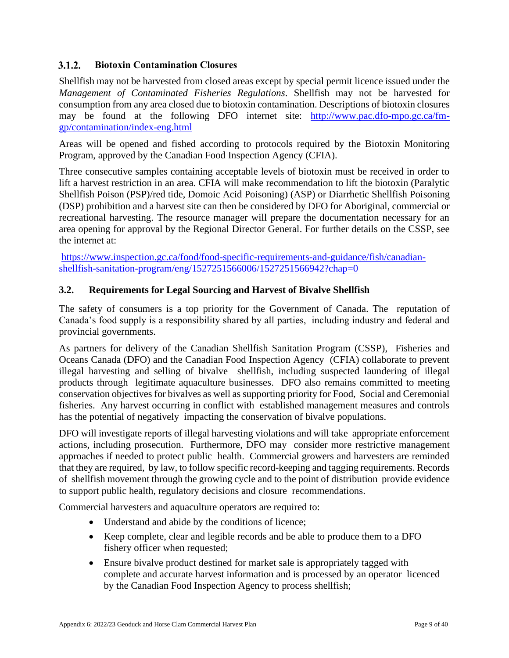### $3.1.2.$ **Biotoxin Contamination Closures**

Shellfish may not be harvested from closed areas except by special permit licence issued under the *Management of Contaminated Fisheries Regulations*. Shellfish may not be harvested for consumption from any area closed due to biotoxin contamination. Descriptions of biotoxin closures may be found at the following DFO internet site: [http://www.pac.dfo-mpo.gc.ca/fm](http://www.pac.dfo-mpo.gc.ca/fm-gp/contamination/index-eng.html)[gp/contamination/index-eng.html](http://www.pac.dfo-mpo.gc.ca/fm-gp/contamination/index-eng.html)

Areas will be opened and fished according to protocols required by the Biotoxin Monitoring Program, approved by the Canadian Food Inspection Agency (CFIA).

Three consecutive samples containing acceptable levels of biotoxin must be received in order to lift a harvest restriction in an area. CFIA will make recommendation to lift the biotoxin (Paralytic Shellfish Poison (PSP)/red tide, Domoic Acid Poisoning) (ASP) or Diarrhetic Shellfish Poisoning (DSP) prohibition and a harvest site can then be considered by DFO for Aboriginal, commercial or recreational harvesting. The resource manager will prepare the documentation necessary for an area opening for approval by the Regional Director General. For further details on the CSSP, see the internet at:

[https://www.inspection.gc.ca/food/food-specific-requirements-and-guidance/fish/canadian](https://www.inspection.gc.ca/food/food-specific-requirements-and-guidance/fish/canadian-shellfish-sanitation-program/eng/1527251566006/1527251566942?chap=0)[shellfish-sanitation-program/eng/1527251566006/1527251566942?chap=0](https://www.inspection.gc.ca/food/food-specific-requirements-and-guidance/fish/canadian-shellfish-sanitation-program/eng/1527251566006/1527251566942?chap=0)

# **3.2. Requirements for Legal Sourcing and Harvest of Bivalve Shellfish**

The safety of consumers is a top priority for the Government of Canada. The reputation of Canada's food supply is a responsibility shared by all parties, including industry and federal and provincial governments.

As partners for delivery of the Canadian Shellfish Sanitation Program (CSSP), Fisheries and Oceans Canada (DFO) and the Canadian Food Inspection Agency (CFIA) collaborate to prevent illegal harvesting and selling of bivalve shellfish, including suspected laundering of illegal products through legitimate aquaculture businesses. DFO also remains committed to meeting conservation objectives for bivalves as well as supporting priority for Food, Social and Ceremonial fisheries. Any harvest occurring in conflict with established management measures and controls has the potential of negatively impacting the conservation of bivalve populations.

DFO will investigate reports of illegal harvesting violations and will take appropriate enforcement actions, including prosecution. Furthermore, DFO may consider more restrictive management approaches if needed to protect public health. Commercial growers and harvesters are reminded that they are required, by law, to follow specific record-keeping and tagging requirements. Records of shellfish movement through the growing cycle and to the point of distribution provide evidence to support public health, regulatory decisions and closure recommendations.

Commercial harvesters and aquaculture operators are required to:

- Understand and abide by the conditions of licence;
- Keep complete, clear and legible records and be able to produce them to a DFO fishery officer when requested;
- Ensure bivalve product destined for market sale is appropriately tagged with complete and accurate harvest information and is processed by an operator licenced by the Canadian Food Inspection Agency to process shellfish;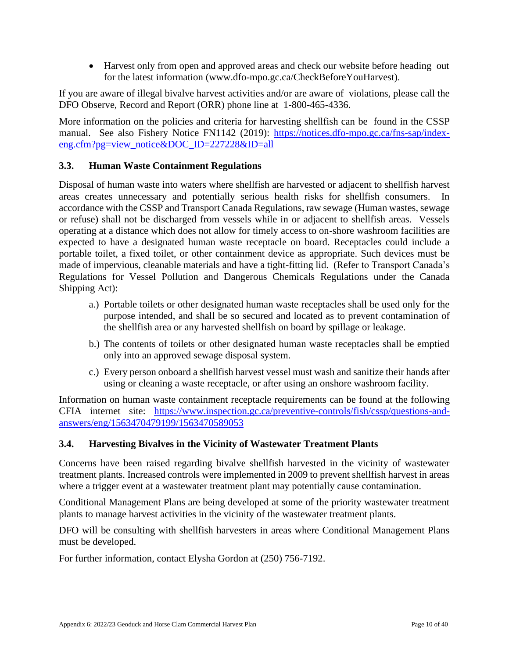• Harvest only from open and approved areas and check our website before heading out for the latest information (www.dfo-mpo.gc.ca/CheckBeforeYouHarvest).

If you are aware of illegal bivalve harvest activities and/or are aware of violations, please call the DFO Observe, Record and Report (ORR) phone line at 1-800-465-4336.

More information on the policies and criteria for harvesting shellfish can be found in the CSSP manual. See also Fishery Notice FN1142 (2019): [https://notices.dfo-mpo.gc.ca/fns-sap/index](https://notices.dfo-mpo.gc.ca/fns-sap/index-eng.cfm?pg=view_notice&DOC_ID=227228&ID=all)[eng.cfm?pg=view\\_notice&DOC\\_ID=227228&ID=all](https://notices.dfo-mpo.gc.ca/fns-sap/index-eng.cfm?pg=view_notice&DOC_ID=227228&ID=all)

## **3.3. Human Waste Containment Regulations**

Disposal of human waste into waters where shellfish are harvested or adjacent to shellfish harvest areas creates unnecessary and potentially serious health risks for shellfish consumers. In accordance with the CSSP and Transport Canada Regulations, raw sewage (Human wastes, sewage or refuse) shall not be discharged from vessels while in or adjacent to shellfish areas. Vessels operating at a distance which does not allow for timely access to on-shore washroom facilities are expected to have a designated human waste receptacle on board. Receptacles could include a portable toilet, a fixed toilet, or other containment device as appropriate. Such devices must be made of impervious, cleanable materials and have a tight-fitting lid. (Refer to Transport Canada's Regulations for Vessel Pollution and Dangerous Chemicals Regulations under the Canada Shipping Act):

- a.) Portable toilets or other designated human waste receptacles shall be used only for the purpose intended, and shall be so secured and located as to prevent contamination of the shellfish area or any harvested shellfish on board by spillage or leakage.
- b.) The contents of toilets or other designated human waste receptacles shall be emptied only into an approved sewage disposal system.
- c.) Every person onboard a shellfish harvest vessel must wash and sanitize their hands after using or cleaning a waste receptacle, or after using an onshore washroom facility.

Information on human waste containment receptacle requirements can be found at the following CFIA internet site: [https://www.inspection.gc.ca/preventive-controls/fish/cssp/questions-and](https://www.inspection.gc.ca/preventive-controls/fish/cssp/questions-and-answers/eng/1563470479199/1563470589053)[answers/eng/1563470479199/1563470589053](https://www.inspection.gc.ca/preventive-controls/fish/cssp/questions-and-answers/eng/1563470479199/1563470589053)

## **3.4. Harvesting Bivalves in the Vicinity of Wastewater Treatment Plants**

Concerns have been raised regarding bivalve shellfish harvested in the vicinity of wastewater treatment plants. Increased controls were implemented in 2009 to prevent shellfish harvest in areas where a trigger event at a wastewater treatment plant may potentially cause contamination.

Conditional Management Plans are being developed at some of the priority wastewater treatment plants to manage harvest activities in the vicinity of the wastewater treatment plants.

DFO will be consulting with shellfish harvesters in areas where Conditional Management Plans must be developed.

For further information, contact Elysha Gordon at (250) 756-7192.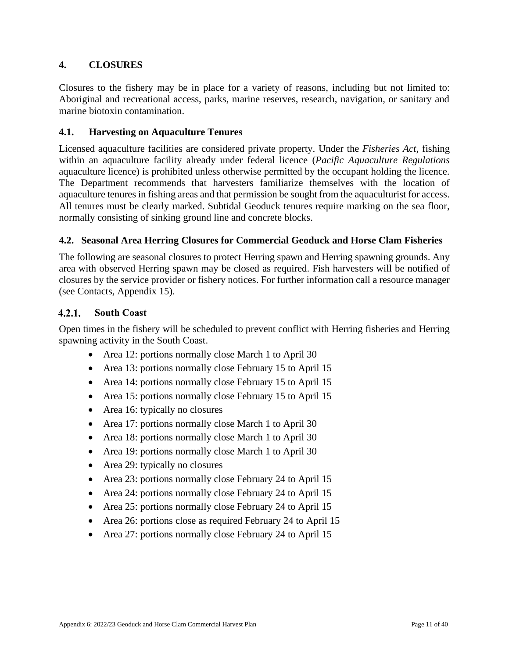# **4. CLOSURES**

Closures to the fishery may be in place for a variety of reasons, including but not limited to: Aboriginal and recreational access, parks, marine reserves, research, navigation, or sanitary and marine biotoxin contamination.

## **4.1. Harvesting on Aquaculture Tenures**

Licensed aquaculture facilities are considered private property. Under the *Fisheries Act*, fishing within an aquaculture facility already under federal licence (*Pacific Aquaculture Regulations* aquaculture licence) is prohibited unless otherwise permitted by the occupant holding the licence. The Department recommends that harvesters familiarize themselves with the location of aquaculture tenures in fishing areas and that permission be sought from the aquaculturist for access. All tenures must be clearly marked. Subtidal Geoduck tenures require marking on the sea floor, normally consisting of sinking ground line and concrete blocks.

## **4.2. Seasonal Area Herring Closures for Commercial Geoduck and Horse Clam Fisheries**

The following are seasonal closures to protect Herring spawn and Herring spawning grounds. Any area with observed Herring spawn may be closed as required. Fish harvesters will be notified of closures by the service provider or fishery notices. For further information call a resource manager (see Contacts, Appendix 15).

#### $4.2.1.$ **South Coast**

Open times in the fishery will be scheduled to prevent conflict with Herring fisheries and Herring spawning activity in the South Coast.

- Area 12: portions normally close March 1 to April 30
- Area 13: portions normally close February 15 to April 15
- Area 14: portions normally close February 15 to April 15
- Area 15: portions normally close February 15 to April 15
- Area 16: typically no closures
- Area 17: portions normally close March 1 to April 30
- Area 18: portions normally close March 1 to April 30
- Area 19: portions normally close March 1 to April 30
- Area 29: typically no closures
- Area 23: portions normally close February 24 to April 15
- Area 24: portions normally close February 24 to April 15
- Area 25: portions normally close February 24 to April 15
- Area 26: portions close as required February 24 to April 15
- Area 27: portions normally close February 24 to April 15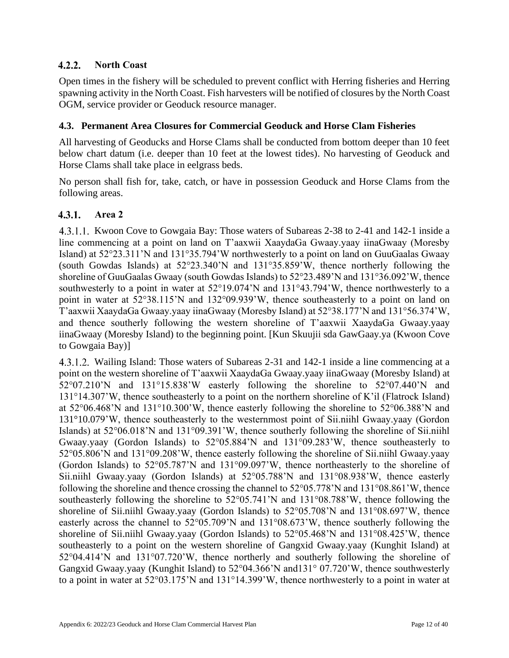### $4.2.2.$ **North Coast**

Open times in the fishery will be scheduled to prevent conflict with Herring fisheries and Herring spawning activity in the North Coast. Fish harvesters will be notified of closures by the North Coast OGM, service provider or Geoduck resource manager.

# **4.3. Permanent Area Closures for Commercial Geoduck and Horse Clam Fisheries**

All harvesting of Geoducks and Horse Clams shall be conducted from bottom deeper than 10 feet below chart datum (i.e. deeper than 10 feet at the lowest tides). No harvesting of Geoduck and Horse Clams shall take place in eelgrass beds.

No person shall fish for, take, catch, or have in possession Geoduck and Horse Clams from the following areas.

### $4.3.1.$ **Area 2**

4.3.1.1. Kwoon Cove to Gowgaia Bay: Those waters of Subareas 2-38 to 2-41 and 142-1 inside a line commencing at a point on land on T'aaxwii XaaydaGa Gwaay.yaay iinaGwaay (Moresby Island) at 52°23.311'N and 131°35.794'W northwesterly to a point on land on GuuGaalas Gwaay (south Gowdas Islands) at 52°23.340'N and 131°35.859'W, thence northerly following the shoreline of GuuGaalas Gwaay (south Gowdas Islands) to 52°23.489'N and 131°36.092'W, thence southwesterly to a point in water at 52°19.074'N and 131°43.794'W, thence northwesterly to a point in water at 52°38.115'N and 132°09.939'W, thence southeasterly to a point on land on T'aaxwii XaaydaGa Gwaay.yaay iinaGwaay (Moresby Island) at 52°38.177'N and 131°56.374'W, and thence southerly following the western shoreline of T'aaxwii XaaydaGa Gwaay.yaay iinaGwaay (Moresby Island) to the beginning point. [Kun Skuujii sda GawGaay.ya (Kwoon Cove to Gowgaia Bay)]

Wailing Island: Those waters of Subareas 2-31 and 142-1 inside a line commencing at a point on the western shoreline of T'aaxwii XaaydaGa Gwaay.yaay iinaGwaay (Moresby Island) at 52°07.210'N and 131°15.838'W easterly following the shoreline to 52°07.440'N and 131°14.307'W, thence southeasterly to a point on the northern shoreline of K'il (Flatrock Island) at 52°06.468'N and 131°10.300'W, thence easterly following the shoreline to 52°06.388'N and 131°10.079'W, thence southeasterly to the westernmost point of Sii.niihl Gwaay.yaay (Gordon Islands) at 52°06.018'N and 131°09.391'W, thence southerly following the shoreline of Sii.niihl Gwaay.yaay (Gordon Islands) to 52°05.884'N and 131°09.283'W, thence southeasterly to 52°05.806'N and 131°09.208'W, thence easterly following the shoreline of Sii.niihl Gwaay.yaay (Gordon Islands) to 52°05.787'N and 131°09.097'W, thence northeasterly to the shoreline of Sii.niihl Gwaay.yaay (Gordon Islands) at 52°05.788'N and 131°08.938'W, thence easterly following the shoreline and thence crossing the channel to 52°05.778'N and 131°08.861'W, thence southeasterly following the shoreline to 52°05.741'N and 131°08.788'W, thence following the shoreline of Sii.niihl Gwaay.yaay (Gordon Islands) to 52°05.708'N and 131°08.697'W, thence easterly across the channel to 52°05.709'N and 131°08.673'W, thence southerly following the shoreline of Sii.niihl Gwaay.yaay (Gordon Islands) to 52°05.468'N and 131°08.425'W, thence southeasterly to a point on the western shoreline of Gangxid Gwaay.yaay (Kunghit Island) at 52°04.414'N and 131°07.720'W, thence northerly and southerly following the shoreline of Gangxid Gwaay.yaay (Kunghit Island) to 52°04.366'N and131° 07.720'W, thence southwesterly to a point in water at 52°03.175'N and 131°14.399'W, thence northwesterly to a point in water at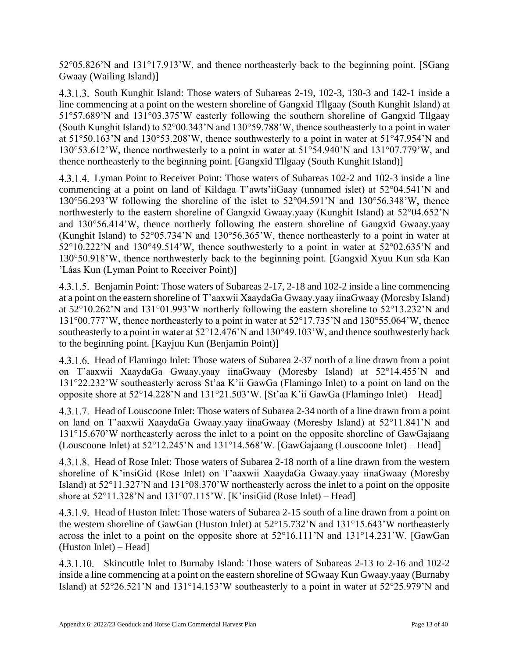52°05.826'N and 131°17.913'W, and thence northeasterly back to the beginning point. [SGang Gwaay (Wailing Island)]

South Kunghit Island: Those waters of Subareas 2-19, 102-3, 130-3 and 142-1 inside a line commencing at a point on the western shoreline of Gangxid Tllgaay (South Kunghit Island) at 51°57.689'N and 131°03.375'W easterly following the southern shoreline of Gangxid Tllgaay (South Kunghit Island) to 52°00.343'N and 130°59.788'W, thence southeasterly to a point in water at 51°50.163'N and 130°53.208'W, thence southwesterly to a point in water at 51°47.954'N and 130°53.612'W, thence northwesterly to a point in water at 51°54.940'N and 131°07.779'W, and thence northeasterly to the beginning point. [Gangxid Tllgaay (South Kunghit Island)]

Lyman Point to Receiver Point: Those waters of Subareas 102-2 and 102-3 inside a line commencing at a point on land of Kildaga T'awts'iiGaay (unnamed islet) at 52°04.541'N and 130°56.293'W following the shoreline of the islet to 52°04.591'N and 130°56.348'W, thence northwesterly to the eastern shoreline of Gangxid Gwaay.yaay (Kunghit Island) at 52°04.652'N and 130°56.414'W, thence northerly following the eastern shoreline of Gangxid Gwaay.yaay (Kunghit Island) to 52°05.734'N and 130°56.365'W, thence northeasterly to a point in water at 52°10.222'N and 130°49.514'W, thence southwesterly to a point in water at 52°02.635'N and 130°50.918'W, thence northwesterly back to the beginning point. [Gangxid Xyuu Kun sda Kan 'Láas Kun (Lyman Point to Receiver Point)]

Benjamin Point: Those waters of Subareas 2-17, 2-18 and 102-2 inside a line commencing at a point on the eastern shoreline of T'aaxwii XaaydaGa Gwaay.yaay iinaGwaay (Moresby Island) at 52°10.262'N and 131°01.993'W northerly following the eastern shoreline to 52°13.232'N and 131°00.777'W, thence northeasterly to a point in water at 52°17.735'N and 130°55.064'W, thence southeasterly to a point in water at 52°12.476'N and 130°49.103'W, and thence southwesterly back to the beginning point. [Kayjuu Kun (Benjamin Point)]

Head of Flamingo Inlet: Those waters of Subarea 2-37 north of a line drawn from a point on T'aaxwii XaaydaGa Gwaay.yaay iinaGwaay (Moresby Island) at 52°14.455'N and 131°22.232'W southeasterly across St'aa K'ii GawGa (Flamingo Inlet) to a point on land on the opposite shore at 52°14.228'N and 131°21.503'W. [St'aa K'ii GawGa (Flamingo Inlet) – Head]

4.3.1.7. Head of Louscoone Inlet: Those waters of Subarea 2-34 north of a line drawn from a point on land on T'aaxwii XaaydaGa Gwaay.yaay iinaGwaay (Moresby Island) at 52°11.841'N and 131°15.670'W northeasterly across the inlet to a point on the opposite shoreline of GawGajaang (Louscoone Inlet) at 52°12.245'N and 131°14.568'W. [GawGajaang (Louscoone Inlet) – Head]

Head of Rose Inlet: Those waters of Subarea 2-18 north of a line drawn from the western shoreline of K'insiGid (Rose Inlet) on T'aaxwii XaaydaGa Gwaay.yaay iinaGwaay (Moresby Island) at 52°11.327'N and 131°08.370'W northeasterly across the inlet to a point on the opposite shore at  $52^{\circ}11.328$ 'N and  $131^{\circ}07.115$ 'W. [K'insiGid (Rose Inlet) – Head]

Head of Huston Inlet: Those waters of Subarea 2-15 south of a line drawn from a point on the western shoreline of GawGan (Huston Inlet) at 52°15.732'N and 131°15.643'W northeasterly across the inlet to a point on the opposite shore at 52°16.111'N and 131°14.231'W. [GawGan (Huston Inlet) – Head]

Skincuttle Inlet to Burnaby Island: Those waters of Subareas 2-13 to 2-16 and 102-2 inside a line commencing at a point on the eastern shoreline of SGwaay Kun Gwaay.yaay (Burnaby Island) at 52°26.521'N and 131°14.153'W southeasterly to a point in water at 52°25.979'N and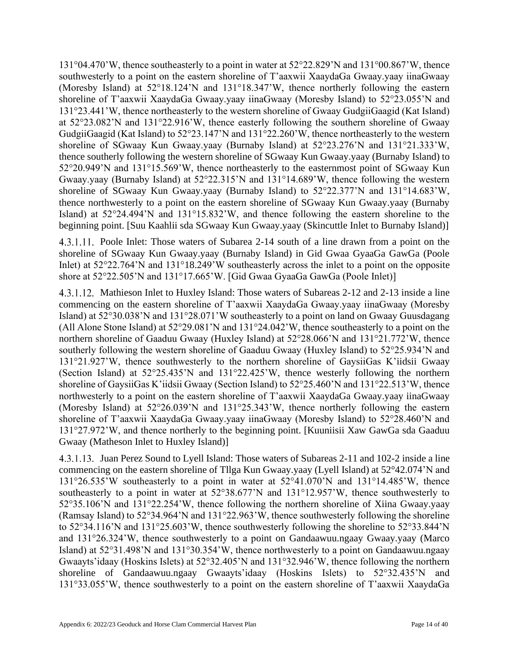131°04.470'W, thence southeasterly to a point in water at 52°22.829'N and 131°00.867'W, thence southwesterly to a point on the eastern shoreline of T'aaxwii XaaydaGa Gwaay.yaay iinaGwaay (Moresby Island) at 52°18.124'N and 131°18.347'W, thence northerly following the eastern shoreline of T'aaxwii XaaydaGa Gwaay.yaay iinaGwaay (Moresby Island) to 52°23.055'N and 131°23.441'W, thence northeasterly to the western shoreline of Gwaay GudgiiGaagid (Kat Island) at 52°23.082'N and 131°22.916'W, thence easterly following the southern shoreline of Gwaay GudgiiGaagid (Kat Island) to 52°23.147'N and 131°22.260'W, thence northeasterly to the western shoreline of SGwaay Kun Gwaay.yaay (Burnaby Island) at 52°23.276'N and 131°21.333'W, thence southerly following the western shoreline of SGwaay Kun Gwaay.yaay (Burnaby Island) to 52°20.949'N and 131°15.569'W, thence northeasterly to the easternmost point of SGwaay Kun Gwaay.yaay (Burnaby Island) at 52°22.315'N and 131°14.689'W, thence following the western shoreline of SGwaay Kun Gwaay.yaay (Burnaby Island) to 52°22.377'N and 131°14.683'W, thence northwesterly to a point on the eastern shoreline of SGwaay Kun Gwaay.yaay (Burnaby Island) at 52°24.494'N and 131°15.832'W, and thence following the eastern shoreline to the beginning point. [Suu Kaahlii sda SGwaay Kun Gwaay.yaay (Skincuttle Inlet to Burnaby Island)]

4.3.1.11. Poole Inlet: Those waters of Subarea 2-14 south of a line drawn from a point on the shoreline of SGwaay Kun Gwaay.yaay (Burnaby Island) in Gid Gwaa GyaaGa GawGa (Poole Inlet) at 52°22.764'N and 131°18.249'W southeasterly across the inlet to a point on the opposite shore at 52°22.505'N and 131°17.665'W. [Gid Gwaa GyaaGa GawGa (Poole Inlet)]

4.3.1.12. Mathieson Inlet to Huxley Island: Those waters of Subareas 2-12 and 2-13 inside a line commencing on the eastern shoreline of T'aaxwii XaaydaGa Gwaay.yaay iinaGwaay (Moresby Island) at 52°30.038'N and 131°28.071'W southeasterly to a point on land on Gwaay Guusdagang (All Alone Stone Island) at 52°29.081'N and 131°24.042'W, thence southeasterly to a point on the northern shoreline of Gaaduu Gwaay (Huxley Island) at 52°28.066'N and 131°21.772'W, thence southerly following the western shoreline of Gaaduu Gwaay (Huxley Island) to 52°25.934'N and 131°21.927'W, thence southwesterly to the northern shoreline of GaysiiGas K'iidsii Gwaay (Section Island) at 52°25.435'N and 131°22.425'W, thence westerly following the northern shoreline of GaysiiGas K'iidsii Gwaay (Section Island) to 52°25.460'N and 131°22.513'W, thence northwesterly to a point on the eastern shoreline of T'aaxwii XaaydaGa Gwaay.yaay iinaGwaay (Moresby Island) at 52°26.039'N and 131°25.343'W, thence northerly following the eastern shoreline of T'aaxwii XaaydaGa Gwaay.yaay iinaGwaay (Moresby Island) to 52°28.460'N and 131°27.972'W, and thence northerly to the beginning point. [Kuuniisii Xaw GawGa sda Gaaduu Gwaay (Matheson Inlet to Huxley Island)]

4.3.1.13. Juan Perez Sound to Lyell Island: Those waters of Subareas 2-11 and 102-2 inside a line commencing on the eastern shoreline of Tllga Kun Gwaay.yaay (Lyell Island) at 52°42.074'N and 131°26.535'W southeasterly to a point in water at 52°41.070'N and 131°14.485'W, thence southeasterly to a point in water at 52°38.677'N and 131°12.957'W, thence southwesterly to 52°35.106'N and 131°22.254'W, thence following the northern shoreline of Xiina Gwaay.yaay (Ramsay Island) to 52°34.964'N and 131°22.963'W, thence southwesterly following the shoreline to 52°34.116'N and 131°25.603'W, thence southwesterly following the shoreline to 52°33.844'N and 131°26.324'W, thence southwesterly to a point on Gandaawuu.ngaay Gwaay.yaay (Marco Island) at 52°31.498'N and 131°30.354'W, thence northwesterly to a point on Gandaawuu.ngaay Gwaayts'idaay (Hoskins Islets) at 52°32.405'N and 131°32.946'W, thence following the northern shoreline of Gandaawuu.ngaay Gwaayts'idaay (Hoskins Islets) to 52°32.435'N and 131°33.055'W, thence southwesterly to a point on the eastern shoreline of T'aaxwii XaaydaGa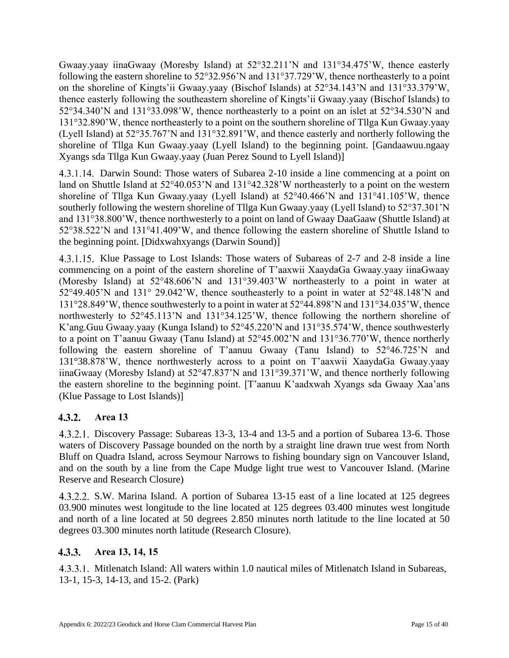Gwaay.yaay iinaGwaay (Moresby Island) at 52°32.211'N and 131°34.475'W, thence easterly following the eastern shoreline to 52°32.956'N and 131°37.729'W, thence northeasterly to a point on the shoreline of Kingts'ii Gwaay.yaay (Bischof Islands) at 52°34.143'N and 131°33.379'W, thence easterly following the southeastern shoreline of Kingts'ii Gwaay.yaay (Bischof Islands) to 52°34.340'N and 131°33.098'W, thence northeasterly to a point on an islet at 52°34.530'N and 131°32.890'W, thence northeasterly to a point on the southern shoreline of Tllga Kun Gwaay.yaay (Lyell Island) at 52°35.767'N and 131°32.891'W, and thence easterly and northerly following the shoreline of Tllga Kun Gwaay.yaay (Lyell Island) to the beginning point. [Gandaawuu.ngaay Xyangs sda Tllga Kun Gwaay.yaay (Juan Perez Sound to Lyell Island)]

4.3.1.14. Darwin Sound: Those waters of Subarea 2-10 inside a line commencing at a point on land on Shuttle Island at 52°40.053'N and 131°42.328'W northeasterly to a point on the western shoreline of Tllga Kun Gwaay.yaay (Lyell Island) at 52°40.466'N and 131°41.105'W, thence southerly following the western shoreline of Tllga Kun Gwaay.yaay (Lyell Island) to 52°37.301'N and 131°38.800'W, thence northwesterly to a point on land of Gwaay DaaGaaw (Shuttle Island) at 52°38.522'N and 131°41.409'W, and thence following the eastern shoreline of Shuttle Island to the beginning point. [Didxwahxyangs (Darwin Sound)]

4.3.1.15. Klue Passage to Lost Islands: Those waters of Subareas of 2-7 and 2-8 inside a line commencing on a point of the eastern shoreline of T'aaxwii XaaydaGa Gwaay.yaay iinaGwaay (Moresby Island) at 52°48.606'N and 131°39.403'W northeasterly to a point in water at 52°49.405'N and 131° 29.042'W, thence southeasterly to a point in water at 52°48.148'N and 131°28.849'W, thence southwesterly to a point in water at 52°44.898'N and 131°34.035'W, thence northwesterly to 52°45.113'N and 131°34.125'W, thence following the northern shoreline of K'ang.Guu Gwaay.yaay (Kunga Island) to 52°45.220'N and 131°35.574'W, thence southwesterly to a point on T'aanuu Gwaay (Tanu Island) at 52°45.002'N and 131°36.770'W, thence northerly following the eastern shoreline of T'aanuu Gwaay (Tanu Island) to 52°46.725'N and 131°38.878'W, thence northwesterly across to a point on T'aaxwii XaaydaGa Gwaay.yaay iinaGwaay (Moresby Island) at 52°47.837'N and 131°39.371'W, and thence northerly following the eastern shoreline to the beginning point. [T'aanuu K'aadxwah Xyangs sda Gwaay Xaa'ans (Klue Passage to Lost Islands)]

### $4.3.2.$ **Area 13**

Discovery Passage: Subareas 13-3, 13-4 and 13-5 and a portion of Subarea 13-6. Those waters of Discovery Passage bounded on the north by a straight line drawn true west from North Bluff on Quadra Island, across Seymour Narrows to fishing boundary sign on Vancouver Island, and on the south by a line from the Cape Mudge light true west to Vancouver Island. (Marine Reserve and Research Closure)

4.3.2.2. S.W. Marina Island. A portion of Subarea 13-15 east of a line located at 125 degrees 03.900 minutes west longitude to the line located at 125 degrees 03.400 minutes west longitude and north of a line located at 50 degrees 2.850 minutes north latitude to the line located at 50 degrees 03.300 minutes north latitude (Research Closure).

### $4.3.3.$ **Area 13, 14, 15**

Mitlenatch Island: All waters within 1.0 nautical miles of Mitlenatch Island in Subareas, 13-1, 15-3, 14-13, and 15-2. (Park)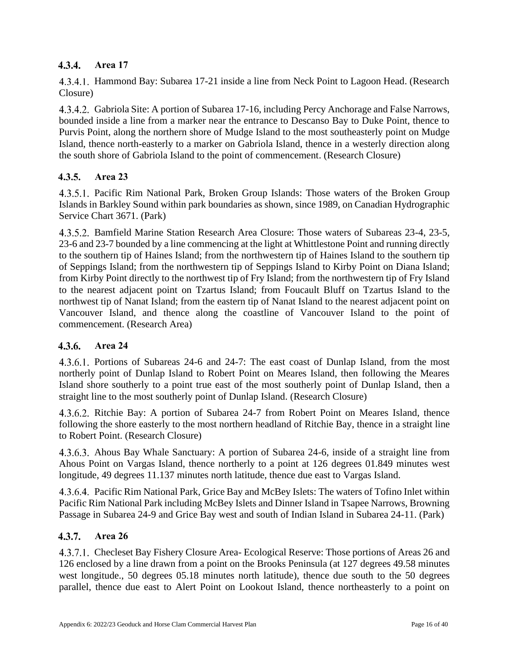### $4.3.4.$ **Area 17**

4.3.4.1. Hammond Bay: Subarea 17-21 inside a line from Neck Point to Lagoon Head. (Research Closure)

4.3.4.2. Gabriola Site: A portion of Subarea 17-16, including Percy Anchorage and False Narrows, bounded inside a line from a marker near the entrance to Descanso Bay to Duke Point, thence to Purvis Point, along the northern shore of Mudge Island to the most southeasterly point on Mudge Island, thence north-easterly to a marker on Gabriola Island, thence in a westerly direction along the south shore of Gabriola Island to the point of commencement. (Research Closure)

### $4.3.5.$ **Area 23**

4.3.5.1. Pacific Rim National Park, Broken Group Islands: Those waters of the Broken Group Islands in Barkley Sound within park boundaries as shown, since 1989, on Canadian Hydrographic Service Chart 3671. (Park)

4.3.5.2. Bamfield Marine Station Research Area Closure: Those waters of Subareas 23-4, 23-5, 23-6 and 23-7 bounded by a line commencing at the light at Whittlestone Point and running directly to the southern tip of Haines Island; from the northwestern tip of Haines Island to the southern tip of Seppings Island; from the northwestern tip of Seppings Island to Kirby Point on Diana Island; from Kirby Point directly to the northwest tip of Fry Island; from the northwestern tip of Fry Island to the nearest adjacent point on Tzartus Island; from Foucault Bluff on Tzartus Island to the northwest tip of Nanat Island; from the eastern tip of Nanat Island to the nearest adjacent point on Vancouver Island, and thence along the coastline of Vancouver Island to the point of commencement. (Research Area)

### $4.3.6.$ **Area 24**

4.3.6.1. Portions of Subareas 24-6 and 24-7: The east coast of Dunlap Island, from the most northerly point of Dunlap Island to Robert Point on Meares Island, then following the Meares Island shore southerly to a point true east of the most southerly point of Dunlap Island, then a straight line to the most southerly point of Dunlap Island. (Research Closure)

Ritchie Bay: A portion of Subarea 24-7 from Robert Point on Meares Island, thence following the shore easterly to the most northern headland of Ritchie Bay, thence in a straight line to Robert Point. (Research Closure)

4.3.6.3. Ahous Bay Whale Sanctuary: A portion of Subarea 24-6, inside of a straight line from Ahous Point on Vargas Island, thence northerly to a point at 126 degrees 01.849 minutes west longitude, 49 degrees 11.137 minutes north latitude, thence due east to Vargas Island.

4.3.6.4. Pacific Rim National Park, Grice Bay and McBey Islets: The waters of Tofino Inlet within Pacific Rim National Park including McBey Islets and Dinner Island in Tsapee Narrows, Browning Passage in Subarea 24-9 and Grice Bay west and south of Indian Island in Subarea 24-11. (Park)

### $4.3.7.$ **Area 26**

4.3.7.1. Checleset Bay Fishery Closure Area- Ecological Reserve: Those portions of Areas 26 and 126 enclosed by a line drawn from a point on the Brooks Peninsula (at 127 degrees 49.58 minutes west longitude., 50 degrees 05.18 minutes north latitude), thence due south to the 50 degrees parallel, thence due east to Alert Point on Lookout Island, thence northeasterly to a point on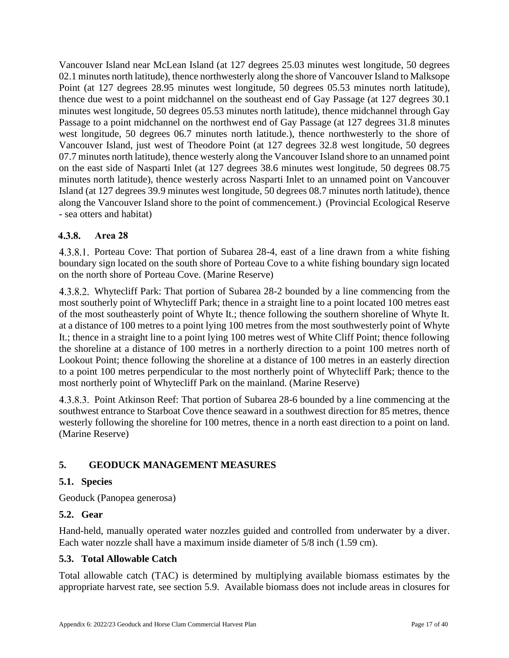Vancouver Island near McLean Island (at 127 degrees 25.03 minutes west longitude, 50 degrees 02.1 minutes north latitude), thence northwesterly along the shore of Vancouver Island to Malksope Point (at 127 degrees 28.95 minutes west longitude, 50 degrees 05.53 minutes north latitude), thence due west to a point midchannel on the southeast end of Gay Passage (at 127 degrees 30.1 minutes west longitude, 50 degrees 05.53 minutes north latitude), thence midchannel through Gay Passage to a point midchannel on the northwest end of Gay Passage (at 127 degrees 31.8 minutes west longitude, 50 degrees 06.7 minutes north latitude.), thence northwesterly to the shore of Vancouver Island, just west of Theodore Point (at 127 degrees 32.8 west longitude, 50 degrees 07.7 minutes north latitude), thence westerly along the Vancouver Island shore to an unnamed point on the east side of Nasparti Inlet (at 127 degrees 38.6 minutes west longitude, 50 degrees 08.75 minutes north latitude), thence westerly across Nasparti Inlet to an unnamed point on Vancouver Island (at 127 degrees 39.9 minutes west longitude, 50 degrees 08.7 minutes north latitude), thence along the Vancouver Island shore to the point of commencement.) (Provincial Ecological Reserve - sea otters and habitat)

### $4.3.8.$ **Area 28**

4.3.8.1. Porteau Cove: That portion of Subarea 28-4, east of a line drawn from a white fishing boundary sign located on the south shore of Porteau Cove to a white fishing boundary sign located on the north shore of Porteau Cove. (Marine Reserve)

4.3.8.2. Whytecliff Park: That portion of Subarea 28-2 bounded by a line commencing from the most southerly point of Whytecliff Park; thence in a straight line to a point located 100 metres east of the most southeasterly point of Whyte It.; thence following the southern shoreline of Whyte It. at a distance of 100 metres to a point lying 100 metres from the most southwesterly point of Whyte It.; thence in a straight line to a point lying 100 metres west of White Cliff Point; thence following the shoreline at a distance of 100 metres in a northerly direction to a point 100 metres north of Lookout Point; thence following the shoreline at a distance of 100 metres in an easterly direction to a point 100 metres perpendicular to the most northerly point of Whytecliff Park; thence to the most northerly point of Whytecliff Park on the mainland. (Marine Reserve)

4.3.8.3. Point Atkinson Reef: That portion of Subarea 28-6 bounded by a line commencing at the southwest entrance to Starboat Cove thence seaward in a southwest direction for 85 metres, thence westerly following the shoreline for 100 metres, thence in a north east direction to a point on land. (Marine Reserve)

# **5. GEODUCK MANAGEMENT MEASURES**

# **5.1. Species**

Geoduck (Panopea generosa)

# **5.2. Gear**

Hand-held, manually operated water nozzles guided and controlled from underwater by a diver. Each water nozzle shall have a maximum inside diameter of 5/8 inch (1.59 cm).

# **5.3. Total Allowable Catch**

Total allowable catch (TAC) is determined by multiplying available biomass estimates by the appropriate harvest rate, see section 5.9. Available biomass does not include areas in closures for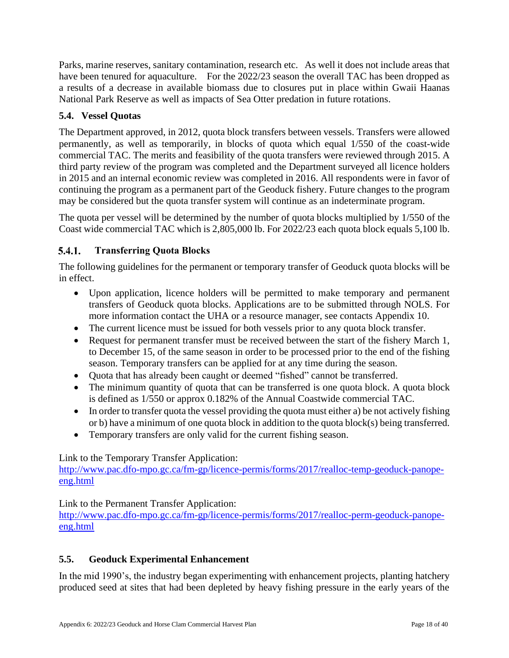Parks, marine reserves, sanitary contamination, research etc. As well it does not include areas that have been tenured for aquaculture. For the 2022/23 season the overall TAC has been dropped as a results of a decrease in available biomass due to closures put in place within Gwaii Haanas National Park Reserve as well as impacts of Sea Otter predation in future rotations.

# **5.4. Vessel Quotas**

The Department approved, in 2012, quota block transfers between vessels. Transfers were allowed permanently, as well as temporarily, in blocks of quota which equal 1/550 of the coast-wide commercial TAC. The merits and feasibility of the quota transfers were reviewed through 2015. A third party review of the program was completed and the Department surveyed all licence holders in 2015 and an internal economic review was completed in 2016. All respondents were in favor of continuing the program as a permanent part of the Geoduck fishery. Future changes to the program may be considered but the quota transfer system will continue as an indeterminate program.

The quota per vessel will be determined by the number of quota blocks multiplied by 1/550 of the Coast wide commercial TAC which is 2,805,000 lb. For 2022/23 each quota block equals 5,100 lb.

### $5.4.1.$ **Transferring Quota Blocks**

The following guidelines for the permanent or temporary transfer of Geoduck quota blocks will be in effect.

- Upon application, licence holders will be permitted to make temporary and permanent transfers of Geoduck quota blocks. Applications are to be submitted through NOLS. For more information contact the UHA or a resource manager, see contacts Appendix 10.
- The current licence must be issued for both vessels prior to any quota block transfer.
- Request for permanent transfer must be received between the start of the fishery March 1, to December 15, of the same season in order to be processed prior to the end of the fishing season. Temporary transfers can be applied for at any time during the season.
- Quota that has already been caught or deemed "fished" cannot be transferred.
- The minimum quantity of quota that can be transferred is one quota block. A quota block is defined as 1/550 or approx 0.182% of the Annual Coastwide commercial TAC.
- In order to transfer quota the vessel providing the quota must either a) be not actively fishing or b) have a minimum of one quota block in addition to the quota block(s) being transferred.
- Temporary transfers are only valid for the current fishing season.

# Link to the Temporary Transfer Application:

[http://www.pac.dfo-mpo.gc.ca/fm-gp/licence-permis/forms/2017/realloc-temp-geoduck-panope](http://www.pac.dfo-mpo.gc.ca/fm-gp/licence-permis/forms/2017/realloc-temp-geoduck-panope-eng.html)[eng.html](http://www.pac.dfo-mpo.gc.ca/fm-gp/licence-permis/forms/2017/realloc-temp-geoduck-panope-eng.html)

# Link to the Permanent Transfer Application:

[http://www.pac.dfo-mpo.gc.ca/fm-gp/licence-permis/forms/2017/realloc-perm-geoduck-panope](http://www.pac.dfo-mpo.gc.ca/fm-gp/licence-permis/forms/2017/realloc-perm-geoduck-panope-eng.html)[eng.html](http://www.pac.dfo-mpo.gc.ca/fm-gp/licence-permis/forms/2017/realloc-perm-geoduck-panope-eng.html)

# **5.5. Geoduck Experimental Enhancement**

In the mid 1990's, the industry began experimenting with enhancement projects, planting hatchery produced seed at sites that had been depleted by heavy fishing pressure in the early years of the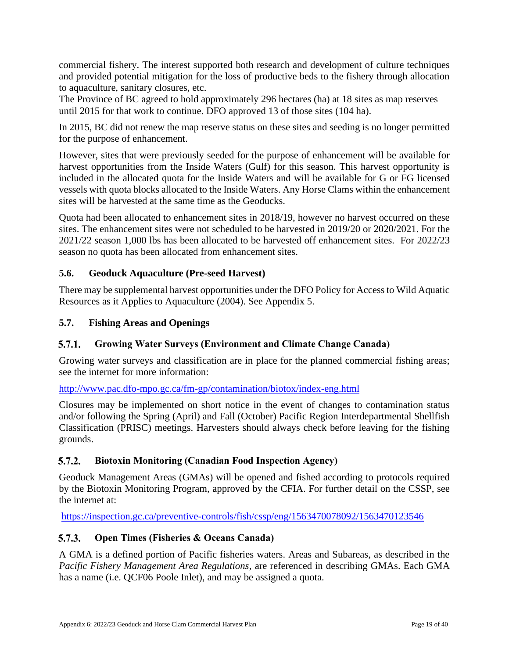commercial fishery. The interest supported both research and development of culture techniques and provided potential mitigation for the loss of productive beds to the fishery through allocation to aquaculture, sanitary closures, etc.

The Province of BC agreed to hold approximately 296 hectares (ha) at 18 sites as map reserves until 2015 for that work to continue. DFO approved 13 of those sites (104 ha).

In 2015, BC did not renew the map reserve status on these sites and seeding is no longer permitted for the purpose of enhancement.

However, sites that were previously seeded for the purpose of enhancement will be available for harvest opportunities from the Inside Waters (Gulf) for this season. This harvest opportunity is included in the allocated quota for the Inside Waters and will be available for G or FG licensed vessels with quota blocks allocated to the Inside Waters. Any Horse Clams within the enhancement sites will be harvested at the same time as the Geoducks.

Quota had been allocated to enhancement sites in 2018/19, however no harvest occurred on these sites. The enhancement sites were not scheduled to be harvested in 2019/20 or 2020/2021. For the 2021/22 season 1,000 lbs has been allocated to be harvested off enhancement sites. For 2022/23 season no quota has been allocated from enhancement sites.

# **5.6. Geoduck Aquaculture (Pre-seed Harvest)**

There may be supplemental harvest opportunities under the DFO Policy for Access to Wild Aquatic Resources as it Applies to Aquaculture (2004). See Appendix 5.

## **5.7. Fishing Areas and Openings**

### $5.7.1.$ **Growing Water Surveys (Environment and Climate Change Canada)**

Growing water surveys and classification are in place for the planned commercial fishing areas; see the internet for more information:

<http://www.pac.dfo-mpo.gc.ca/fm-gp/contamination/biotox/index-eng.html>

Closures may be implemented on short notice in the event of changes to contamination status and/or following the Spring (April) and Fall (October) Pacific Region Interdepartmental Shellfish Classification (PRISC) meetings. Harvesters should always check before leaving for the fishing grounds.

### $5.7.2.$ **Biotoxin Monitoring (Canadian Food Inspection Agency)**

Geoduck Management Areas (GMAs) will be opened and fished according to protocols required by the Biotoxin Monitoring Program, approved by the CFIA. For further detail on the CSSP, see the internet at:

<https://inspection.gc.ca/preventive-controls/fish/cssp/eng/1563470078092/1563470123546>

### $5.7.3.$ **Open Times (Fisheries & Oceans Canada)**

A GMA is a defined portion of Pacific fisheries waters. Areas and Subareas, as described in the *Pacific Fishery Management Area Regulations*, are referenced in describing GMAs. Each GMA has a name (i.e. QCF06 Poole Inlet), and may be assigned a quota.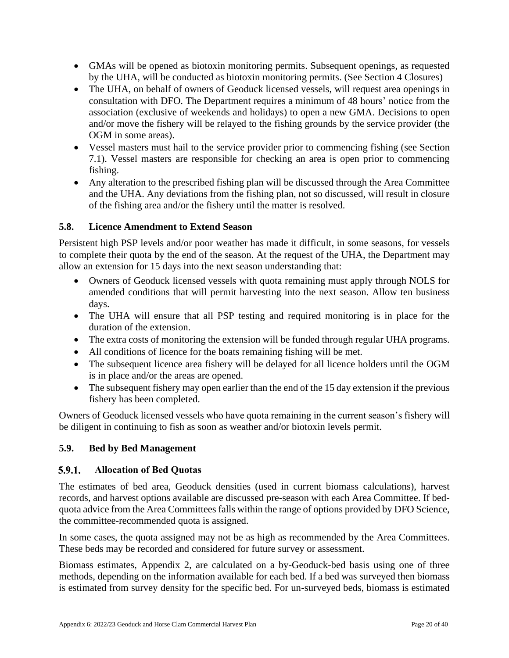- GMAs will be opened as biotoxin monitoring permits. Subsequent openings, as requested by the UHA, will be conducted as biotoxin monitoring permits. (See Section 4 Closures)
- The UHA, on behalf of owners of Geoduck licensed vessels, will request area openings in consultation with DFO. The Department requires a minimum of 48 hours' notice from the association (exclusive of weekends and holidays) to open a new GMA. Decisions to open and/or move the fishery will be relayed to the fishing grounds by the service provider (the OGM in some areas).
- Vessel masters must hail to the service provider prior to commencing fishing (see Section 7.1). Vessel masters are responsible for checking an area is open prior to commencing fishing.
- Any alteration to the prescribed fishing plan will be discussed through the Area Committee and the UHA. Any deviations from the fishing plan, not so discussed, will result in closure of the fishing area and/or the fishery until the matter is resolved.

# **5.8. Licence Amendment to Extend Season**

Persistent high PSP levels and/or poor weather has made it difficult, in some seasons, for vessels to complete their quota by the end of the season. At the request of the UHA, the Department may allow an extension for 15 days into the next season understanding that:

- Owners of Geoduck licensed vessels with quota remaining must apply through NOLS for amended conditions that will permit harvesting into the next season. Allow ten business days.
- The UHA will ensure that all PSP testing and required monitoring is in place for the duration of the extension.
- The extra costs of monitoring the extension will be funded through regular UHA programs.
- All conditions of licence for the boats remaining fishing will be met.
- The subsequent licence area fishery will be delayed for all licence holders until the OGM is in place and/or the areas are opened.
- The subsequent fishery may open earlier than the end of the 15 day extension if the previous fishery has been completed.

Owners of Geoduck licensed vessels who have quota remaining in the current season's fishery will be diligent in continuing to fish as soon as weather and/or biotoxin levels permit.

# **5.9. Bed by Bed Management**

### $5.9.1.$ **Allocation of Bed Quotas**

The estimates of bed area, Geoduck densities (used in current biomass calculations), harvest records, and harvest options available are discussed pre-season with each Area Committee. If bedquota advice from the Area Committees falls within the range of options provided by DFO Science, the committee-recommended quota is assigned.

In some cases, the quota assigned may not be as high as recommended by the Area Committees. These beds may be recorded and considered for future survey or assessment.

Biomass estimates, Appendix 2, are calculated on a by-Geoduck-bed basis using one of three methods, depending on the information available for each bed. If a bed was surveyed then biomass is estimated from survey density for the specific bed. For un-surveyed beds, biomass is estimated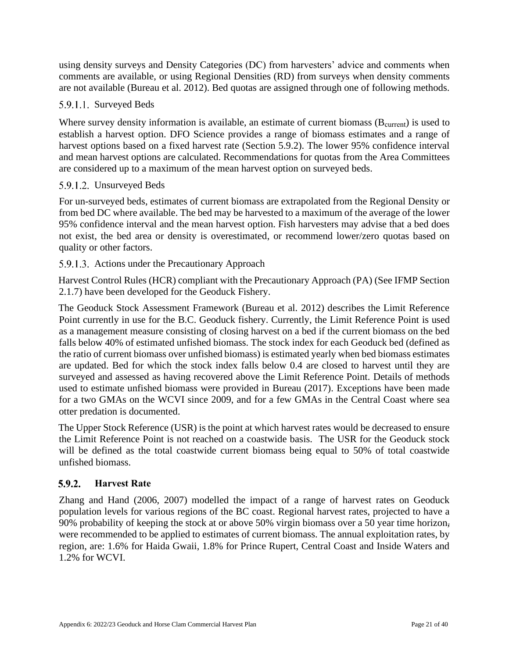using density surveys and Density Categories (DC) from harvesters' advice and comments when comments are available, or using Regional Densities (RD) from surveys when density comments are not available (Bureau et al. 2012). Bed quotas are assigned through one of following methods.

# 5.9.1.1. Surveyed Beds

Where survey density information is available, an estimate of current biomass  $(B<sub>current</sub>)$  is used to establish a harvest option. DFO Science provides a range of biomass estimates and a range of harvest options based on a fixed harvest rate (Section 5.9.2). The lower 95% confidence interval and mean harvest options are calculated. Recommendations for quotas from the Area Committees are considered up to a maximum of the mean harvest option on surveyed beds.

# 5.9.1.2. Unsurveyed Beds

For un-surveyed beds, estimates of current biomass are extrapolated from the Regional Density or from bed DC where available. The bed may be harvested to a maximum of the average of the lower 95% confidence interval and the mean harvest option. Fish harvesters may advise that a bed does not exist, the bed area or density is overestimated, or recommend lower/zero quotas based on quality or other factors.

# 5.9.1.3. Actions under the Precautionary Approach

Harvest Control Rules (HCR) compliant with the Precautionary Approach (PA) (See IFMP Section 2.1.7) have been developed for the Geoduck Fishery.

The Geoduck Stock Assessment Framework (Bureau et al. 2012) describes the Limit Reference Point currently in use for the B.C. Geoduck fishery. Currently, the Limit Reference Point is used as a management measure consisting of closing harvest on a bed if the current biomass on the bed falls below 40% of estimated unfished biomass. The stock index for each Geoduck bed (defined as the ratio of current biomass over unfished biomass) is estimated yearly when bed biomass estimates are updated. Bed for which the stock index falls below 0.4 are closed to harvest until they are surveyed and assessed as having recovered above the Limit Reference Point. Details of methods used to estimate unfished biomass were provided in Bureau (2017). Exceptions have been made for a two GMAs on the WCVI since 2009, and for a few GMAs in the Central Coast where sea otter predation is documented.

The Upper Stock Reference (USR) is the point at which harvest rates would be decreased to ensure the Limit Reference Point is not reached on a coastwide basis. The USR for the Geoduck stock will be defined as the total coastwide current biomass being equal to 50% of total coastwide unfished biomass.

### $5.9.2.$ **Harvest Rate**

Zhang and Hand (2006, 2007) modelled the impact of a range of harvest rates on Geoduck population levels for various regions of the BC coast. Regional harvest rates, projected to have a 90% probability of keeping the stock at or above 50% virgin biomass over a 50 year time horizon, were recommended to be applied to estimates of current biomass. The annual exploitation rates, by region, are: 1.6% for Haida Gwaii, 1.8% for Prince Rupert, Central Coast and Inside Waters and 1.2% for WCVI.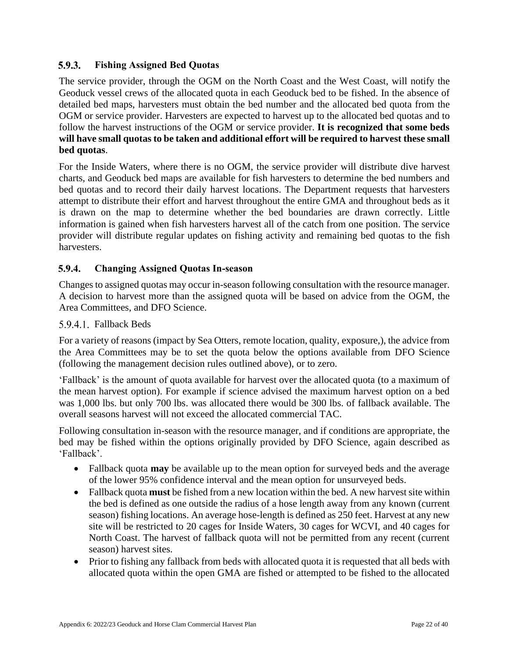### $5.9.3.$ **Fishing Assigned Bed Quotas**

The service provider, through the OGM on the North Coast and the West Coast, will notify the Geoduck vessel crews of the allocated quota in each Geoduck bed to be fished. In the absence of detailed bed maps, harvesters must obtain the bed number and the allocated bed quota from the OGM or service provider. Harvesters are expected to harvest up to the allocated bed quotas and to follow the harvest instructions of the OGM or service provider. **It is recognized that some beds will have small quotas to be taken and additional effort will be required to harvest these small bed quotas**.

For the Inside Waters, where there is no OGM, the service provider will distribute dive harvest charts, and Geoduck bed maps are available for fish harvesters to determine the bed numbers and bed quotas and to record their daily harvest locations. The Department requests that harvesters attempt to distribute their effort and harvest throughout the entire GMA and throughout beds as it is drawn on the map to determine whether the bed boundaries are drawn correctly. Little information is gained when fish harvesters harvest all of the catch from one position. The service provider will distribute regular updates on fishing activity and remaining bed quotas to the fish harvesters.

#### 5.9.4. **Changing Assigned Quotas In-season**

Changes to assigned quotas may occur in-season following consultation with the resource manager. A decision to harvest more than the assigned quota will be based on advice from the OGM, the Area Committees, and DFO Science.

### 5.9.4.1. Fallback Beds

For a variety of reasons (impact by Sea Otters, remote location, quality, exposure,), the advice from the Area Committees may be to set the quota below the options available from DFO Science (following the management decision rules outlined above), or to zero.

'Fallback' is the amount of quota available for harvest over the allocated quota (to a maximum of the mean harvest option). For example if science advised the maximum harvest option on a bed was 1,000 lbs. but only 700 lbs. was allocated there would be 300 lbs. of fallback available. The overall seasons harvest will not exceed the allocated commercial TAC.

Following consultation in-season with the resource manager, and if conditions are appropriate, the bed may be fished within the options originally provided by DFO Science, again described as 'Fallback'.

- Fallback quota **may** be available up to the mean option for surveyed beds and the average of the lower 95% confidence interval and the mean option for unsurveyed beds.
- Fallback quota **must** be fished from a new location within the bed. A new harvest site within the bed is defined as one outside the radius of a hose length away from any known (current season) fishing locations. An average hose-length is defined as 250 feet. Harvest at any new site will be restricted to 20 cages for Inside Waters, 30 cages for WCVI, and 40 cages for North Coast. The harvest of fallback quota will not be permitted from any recent (current season) harvest sites.
- Prior to fishing any fallback from beds with allocated quota it is requested that all beds with allocated quota within the open GMA are fished or attempted to be fished to the allocated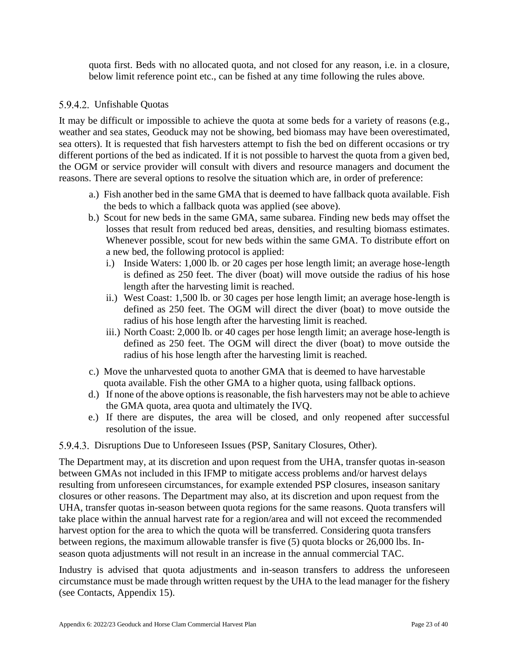quota first. Beds with no allocated quota, and not closed for any reason, i.e. in a closure, below limit reference point etc., can be fished at any time following the rules above.

## 5.9.4.2. Unfishable Quotas

It may be difficult or impossible to achieve the quota at some beds for a variety of reasons (e.g., weather and sea states, Geoduck may not be showing, bed biomass may have been overestimated, sea otters). It is requested that fish harvesters attempt to fish the bed on different occasions or try different portions of the bed as indicated. If it is not possible to harvest the quota from a given bed, the OGM or service provider will consult with divers and resource managers and document the reasons. There are several options to resolve the situation which are, in order of preference:

- a.) Fish another bed in the same GMA that is deemed to have fallback quota available. Fish the beds to which a fallback quota was applied (see above).
- b.) Scout for new beds in the same GMA, same subarea. Finding new beds may offset the losses that result from reduced bed areas, densities, and resulting biomass estimates. Whenever possible, scout for new beds within the same GMA. To distribute effort on a new bed, the following protocol is applied:
	- i.) Inside Waters: 1,000 lb. or 20 cages per hose length limit; an average hose-length is defined as 250 feet. The diver (boat) will move outside the radius of his hose length after the harvesting limit is reached.
	- ii.) West Coast: 1,500 lb. or 30 cages per hose length limit; an average hose-length is defined as 250 feet. The OGM will direct the diver (boat) to move outside the radius of his hose length after the harvesting limit is reached.
	- iii.) North Coast: 2,000 lb. or 40 cages per hose length limit; an average hose-length is defined as 250 feet. The OGM will direct the diver (boat) to move outside the radius of his hose length after the harvesting limit is reached.
- c.) Move the unharvested quota to another GMA that is deemed to have harvestable quota available. Fish the other GMA to a higher quota, using fallback options.
- d.) If none of the above options is reasonable, the fish harvesters may not be able to achieve the GMA quota, area quota and ultimately the IVQ.
- e.) If there are disputes, the area will be closed, and only reopened after successful resolution of the issue.

## 5.9.4.3. Disruptions Due to Unforeseen Issues (PSP, Sanitary Closures, Other).

The Department may, at its discretion and upon request from the UHA, transfer quotas in-season between GMAs not included in this IFMP to mitigate access problems and/or harvest delays resulting from unforeseen circumstances, for example extended PSP closures, inseason sanitary closures or other reasons. The Department may also, at its discretion and upon request from the UHA, transfer quotas in-season between quota regions for the same reasons. Quota transfers will take place within the annual harvest rate for a region/area and will not exceed the recommended harvest option for the area to which the quota will be transferred. Considering quota transfers between regions, the maximum allowable transfer is five (5) quota blocks or 26,000 lbs. Inseason quota adjustments will not result in an increase in the annual commercial TAC.

Industry is advised that quota adjustments and in-season transfers to address the unforeseen circumstance must be made through written request by the UHA to the lead manager for the fishery (see Contacts, Appendix 15).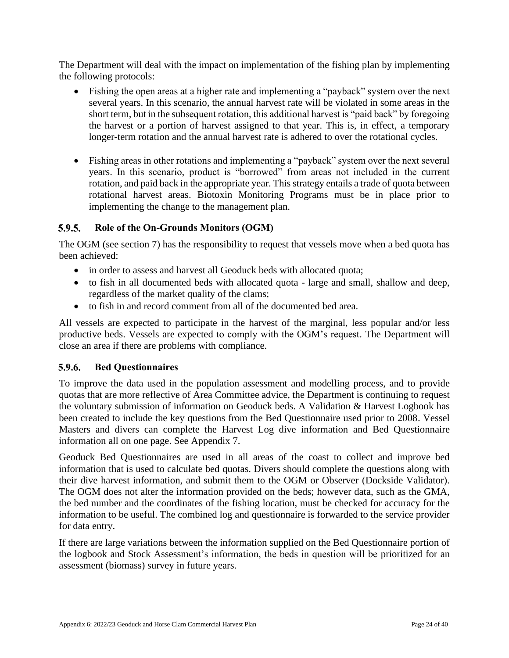The Department will deal with the impact on implementation of the fishing plan by implementing the following protocols:

- Fishing the open areas at a higher rate and implementing a "payback" system over the next several years. In this scenario, the annual harvest rate will be violated in some areas in the short term, but in the subsequent rotation, this additional harvest is "paid back" by foregoing the harvest or a portion of harvest assigned to that year. This is, in effect, a temporary longer-term rotation and the annual harvest rate is adhered to over the rotational cycles.
- Fishing areas in other rotations and implementing a "payback" system over the next several years. In this scenario, product is "borrowed" from areas not included in the current rotation, and paid back in the appropriate year. This strategy entails a trade of quota between rotational harvest areas. Biotoxin Monitoring Programs must be in place prior to implementing the change to the management plan.

### $5.9.5.$ **Role of the On-Grounds Monitors (OGM)**

The OGM (see section 7) has the responsibility to request that vessels move when a bed quota has been achieved:

- in order to assess and harvest all Geoduck beds with allocated quota;
- to fish in all documented beds with allocated quota large and small, shallow and deep, regardless of the market quality of the clams;
- to fish in and record comment from all of the documented bed area.

All vessels are expected to participate in the harvest of the marginal, less popular and/or less productive beds. Vessels are expected to comply with the OGM's request. The Department will close an area if there are problems with compliance.

### $5.9.6.$ **Bed Questionnaires**

To improve the data used in the population assessment and modelling process, and to provide quotas that are more reflective of Area Committee advice, the Department is continuing to request the voluntary submission of information on Geoduck beds. A Validation & Harvest Logbook has been created to include the key questions from the Bed Questionnaire used prior to 2008. Vessel Masters and divers can complete the Harvest Log dive information and Bed Questionnaire information all on one page. See Appendix 7.

Geoduck Bed Questionnaires are used in all areas of the coast to collect and improve bed information that is used to calculate bed quotas. Divers should complete the questions along with their dive harvest information, and submit them to the OGM or Observer (Dockside Validator). The OGM does not alter the information provided on the beds; however data, such as the GMA, the bed number and the coordinates of the fishing location, must be checked for accuracy for the information to be useful. The combined log and questionnaire is forwarded to the service provider for data entry.

If there are large variations between the information supplied on the Bed Questionnaire portion of the logbook and Stock Assessment's information, the beds in question will be prioritized for an assessment (biomass) survey in future years.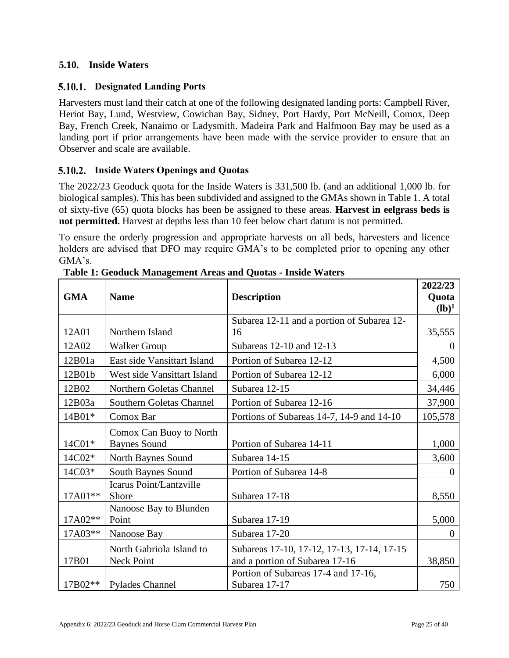## **5.10. Inside Waters**

## **Designated Landing Ports**

Harvesters must land their catch at one of the following designated landing ports: Campbell River, Heriot Bay, Lund, Westview, Cowichan Bay, Sidney, Port Hardy, Port McNeill, Comox, Deep Bay, French Creek, Nanaimo or Ladysmith. Madeira Park and Halfmoon Bay may be used as a landing port if prior arrangements have been made with the service provider to ensure that an Observer and scale are available.

## **5.10.2.** Inside Waters Openings and Ouotas

The 2022/23 Geoduck quota for the Inside Waters is 331,500 lb. (and an additional 1,000 lb. for biological samples). This has been subdivided and assigned to the GMAs shown in Table 1. A total of sixty-five (65) quota blocks has been be assigned to these areas. **Harvest in eelgrass beds is not permitted.** Harvest at depths less than 10 feet below chart datum is not permitted.

To ensure the orderly progression and appropriate harvests on all beds, harvesters and licence holders are advised that DFO may require GMA's to be completed prior to opening any other GMA's.

| <b>GMA</b> | <b>Name</b>                                    | <b>Description</b>                                                           | 2022/23<br>Quota |
|------------|------------------------------------------------|------------------------------------------------------------------------------|------------------|
|            |                                                |                                                                              | $(lb)^1$         |
| 12A01      | Northern Island                                | Subarea 12-11 and a portion of Subarea 12-<br>16                             | 35,555           |
| 12A02      | <b>Walker Group</b>                            | Subareas 12-10 and 12-13                                                     | $\Omega$         |
| 12B01a     | East side Vansittart Island                    | Portion of Subarea 12-12                                                     | 4,500            |
| 12B01b     | West side Vansittart Island                    | Portion of Subarea 12-12                                                     | 6,000            |
| 12B02      | Northern Goletas Channel                       | Subarea 12-15                                                                | 34,446           |
| 12B03a     | <b>Southern Goletas Channel</b>                | Portion of Subarea 12-16                                                     | 37,900           |
| 14B01*     | Comox Bar                                      | Portions of Subareas 14-7, 14-9 and 14-10                                    | 105,578          |
| 14C01*     | Comox Can Buoy to North<br><b>Baynes Sound</b> | Portion of Subarea 14-11                                                     | 1,000            |
| 14C02*     | North Baynes Sound                             | Subarea 14-15                                                                | 3,600            |
| 14C03*     | South Baynes Sound                             | Portion of Subarea 14-8                                                      | $\Omega$         |
| 17A01**    | Icarus Point/Lantzville<br>Shore               | Subarea 17-18                                                                | 8,550            |
| 17A02**    | Nanoose Bay to Blunden<br>Point                | Subarea 17-19                                                                | 5,000            |
| 17A03**    | Nanoose Bay                                    | Subarea 17-20                                                                | $\overline{0}$   |
| 17B01      | North Gabriola Island to<br>Neck Point         | Subareas 17-10, 17-12, 17-13, 17-14, 17-15<br>and a portion of Subarea 17-16 | 38,850           |
| 17B02**    | <b>Pylades Channel</b>                         | Portion of Subareas 17-4 and 17-16,<br>Subarea 17-17                         | 750              |

| Table 1: Geoduck Management Areas and Quotas - Inside Waters |  |
|--------------------------------------------------------------|--|
|                                                              |  |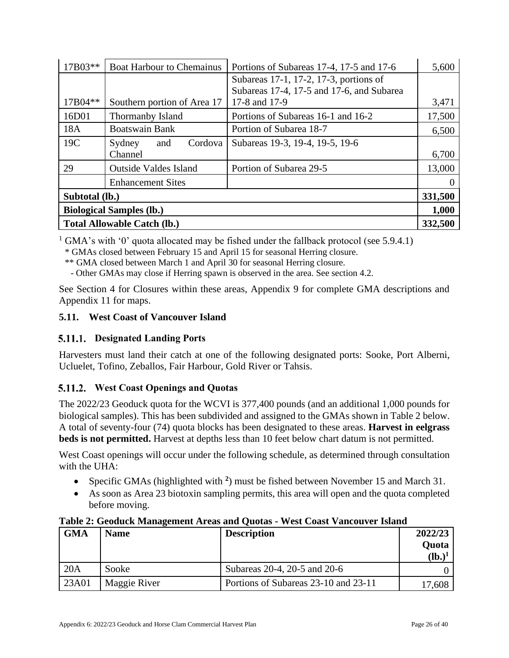| 17B03**                                       | <b>Boat Harbour to Chemainus</b> | Portions of Subareas 17-4, 17-5 and 17-6  | 5,600   |
|-----------------------------------------------|----------------------------------|-------------------------------------------|---------|
|                                               |                                  | Subareas 17-1, 17-2, 17-3, portions of    |         |
|                                               |                                  | Subareas 17-4, 17-5 and 17-6, and Subarea |         |
| 17B04**                                       | Southern portion of Area 17      | 17-8 and 17-9                             | 3,471   |
| 16D01                                         | Thormanby Island                 | Portions of Subareas 16-1 and 16-2        | 17,500  |
| 18A                                           | <b>Boatswain Bank</b>            | Portion of Subarea 18-7                   | 6,500   |
| 19C                                           | Cordova<br>Sydney<br>and         | Subareas 19-3, 19-4, 19-5, 19-6           |         |
|                                               | Channel                          |                                           | 6,700   |
| 29                                            | <b>Outside Valdes Island</b>     | Portion of Subarea 29-5                   | 13,000  |
|                                               | <b>Enhancement Sites</b>         |                                           |         |
| Subtotal (lb.)                                |                                  |                                           | 331,500 |
| <b>Biological Samples (lb.)</b>               |                                  |                                           | 1,000   |
| 332,500<br><b>Total Allowable Catch (lb.)</b> |                                  |                                           |         |

<sup>1</sup> GMA's with '0' quota allocated may be fished under the fallback protocol (see 5.9.4.1)

\* GMAs closed between February 15 and April 15 for seasonal Herring closure.

\*\* GMA closed between March 1 and April 30 for seasonal Herring closure.

- Other GMAs may close if Herring spawn is observed in the area. See section 4.2.

See Section 4 for Closures within these areas, Appendix 9 for complete GMA descriptions and Appendix 11 for maps.

## **5.11. West Coast of Vancouver Island**

# **Designated Landing Ports**

Harvesters must land their catch at one of the following designated ports: Sooke, Port Alberni, Ucluelet, Tofino, Zeballos, Fair Harbour, Gold River or Tahsis.

# **West Coast Openings and Quotas**

The 2022/23 Geoduck quota for the WCVI is 377,400 pounds (and an additional 1,000 pounds for biological samples). This has been subdivided and assigned to the GMAs shown in Table 2 below. A total of seventy-four (74) quota blocks has been designated to these areas. **Harvest in eelgrass beds is not permitted.** Harvest at depths less than 10 feet below chart datum is not permitted.

West Coast openings will occur under the following schedule, as determined through consultation with the UHA:

- Specific GMAs (highlighted with **<sup>2</sup>** ) must be fished between November 15 and March 31.
- As soon as Area 23 biotoxin sampling permits, this area will open and the quota completed before moving.

| Table 2: Geoduck Management Areas and Quotas - West Coast Vancouver Island |  |  |  |  |
|----------------------------------------------------------------------------|--|--|--|--|
|----------------------------------------------------------------------------|--|--|--|--|

| <b>GMA</b> | <b>Name</b>  | <b>Description</b>                   | 2022/23      |
|------------|--------------|--------------------------------------|--------------|
|            |              |                                      | <b>Quota</b> |
|            |              |                                      | $(lb.)$      |
| 20A        | Sooke        | Subareas 20-4, 20-5 and 20-6         |              |
| 23A01      | Maggie River | Portions of Subareas 23-10 and 23-11 | ',608        |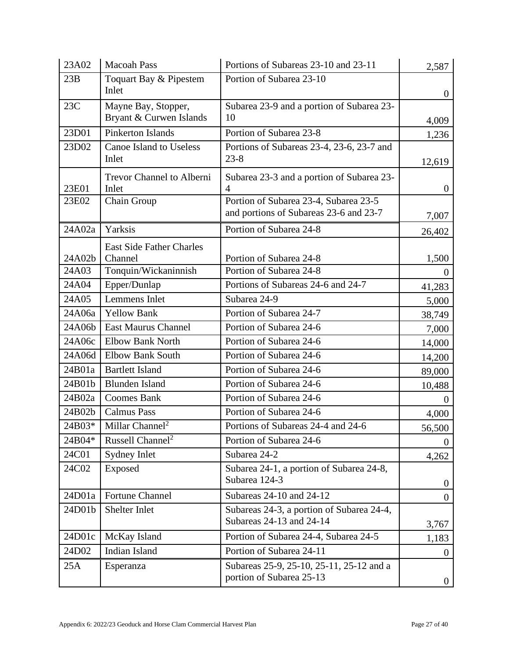| 23A02  | <b>Macoah Pass</b>                             | Portions of Subareas 23-10 and 23-11                                            | 2,587          |
|--------|------------------------------------------------|---------------------------------------------------------------------------------|----------------|
| 23B    | Toquart Bay & Pipestem<br>Inlet                | Portion of Subarea 23-10                                                        | $\overline{0}$ |
| 23C    | Mayne Bay, Stopper,<br>Bryant & Curwen Islands | Subarea 23-9 and a portion of Subarea 23-<br>10                                 | 4,009          |
| 23D01  | Pinkerton Islands                              | Portion of Subarea 23-8                                                         | 1,236          |
| 23D02  | <b>Canoe Island to Useless</b><br>Inlet        | Portions of Subareas 23-4, 23-6, 23-7 and<br>$23 - 8$                           | 12,619         |
| 23E01  | <b>Trevor Channel to Alberni</b><br>Inlet      | Subarea 23-3 and a portion of Subarea 23-<br>4                                  | $\overline{0}$ |
| 23E02  | Chain Group                                    | Portion of Subarea 23-4, Subarea 23-5<br>and portions of Subareas 23-6 and 23-7 | 7,007          |
| 24A02a | Yarksis                                        | Portion of Subarea 24-8                                                         | 26,402         |
| 24A02b | <b>East Side Father Charles</b><br>Channel     | Portion of Subarea 24-8                                                         | 1,500          |
| 24A03  | Tonquin/Wickaninnish                           | Portion of Subarea 24-8                                                         | $\theta$       |
| 24A04  | Epper/Dunlap                                   | Portions of Subareas 24-6 and 24-7                                              | 41,283         |
| 24A05  | Lemmens Inlet                                  | Subarea 24-9                                                                    | 5,000          |
| 24A06a | <b>Yellow Bank</b>                             | Portion of Subarea 24-7                                                         | 38,749         |
| 24A06b | <b>East Maurus Channel</b>                     | Portion of Subarea 24-6                                                         | 7,000          |
| 24A06c | <b>Elbow Bank North</b>                        | Portion of Subarea 24-6                                                         | 14,000         |
| 24A06d | <b>Elbow Bank South</b>                        | Portion of Subarea 24-6                                                         | 14,200         |
| 24B01a | <b>Bartlett Island</b>                         | Portion of Subarea 24-6                                                         | 89,000         |
| 24B01b | <b>Blunden Island</b>                          | Portion of Subarea 24-6                                                         | 10,488         |
| 24B02a | <b>Coomes Bank</b>                             | Portion of Subarea 24-6                                                         | $\theta$       |
| 24B02b | <b>Calmus Pass</b>                             | Portion of Subarea 24-6                                                         | 4,000          |
| 24B03* | Millar Channel <sup>2</sup>                    | Portions of Subareas 24-4 and 24-6                                              | 56,500         |
| 24B04* | Russell Channel <sup>2</sup>                   | Portion of Subarea 24-6                                                         | $\overline{0}$ |
| 24C01  | Sydney Inlet                                   | Subarea 24-2                                                                    | 4,262          |
| 24C02  | Exposed                                        | Subarea 24-1, a portion of Subarea 24-8,<br>Subarea 124-3                       | $\overline{0}$ |
| 24D01a | <b>Fortune Channel</b>                         | Subareas 24-10 and 24-12                                                        | $\overline{0}$ |
| 24D01b | Shelter Inlet                                  | Subareas 24-3, a portion of Subarea 24-4,<br>Subareas 24-13 and 24-14           | 3,767          |
| 24D01c | McKay Island                                   | Portion of Subarea 24-4, Subarea 24-5                                           | 1,183          |
| 24D02  | <b>Indian Island</b>                           | Portion of Subarea 24-11                                                        | $\overline{0}$ |
| 25A    | Esperanza                                      | Subareas 25-9, 25-10, 25-11, 25-12 and a<br>portion of Subarea 25-13            | $\overline{0}$ |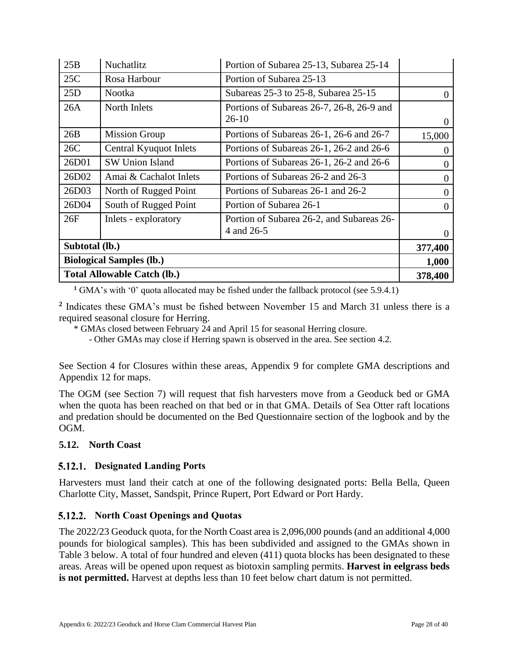| 25B                                | Nuchatlitz             | Portion of Subarea 25-13, Subarea 25-14                 |         |
|------------------------------------|------------------------|---------------------------------------------------------|---------|
| 25C                                | Rosa Harbour           | Portion of Subarea 25-13                                |         |
| 25D                                | Nootka                 | Subareas 25-3 to 25-8, Subarea 25-15                    |         |
| 26A                                | North Inlets           | Portions of Subareas 26-7, 26-8, 26-9 and<br>$26-10$    |         |
| 26B                                | <b>Mission Group</b>   | Portions of Subareas 26-1, 26-6 and 26-7                | 15,000  |
| 26C                                | Central Kyuquot Inlets | Portions of Subareas 26-1, 26-2 and 26-6                |         |
| 26D01                              | <b>SW Union Island</b> | Portions of Subareas 26-1, 26-2 and 26-6                | 0       |
| 26D02                              | Amai & Cachalot Inlets | Portions of Subareas 26-2 and 26-3                      | 0       |
| 26D03                              | North of Rugged Point  | Portions of Subareas 26-1 and 26-2                      |         |
| 26D04                              | South of Rugged Point  | Portion of Subarea 26-1                                 |         |
| 26F                                | Inlets - exploratory   | Portion of Subarea 26-2, and Subareas 26-<br>4 and 26-5 |         |
| Subtotal (lb.)                     |                        |                                                         | 377,400 |
| <b>Biological Samples (lb.)</b>    |                        |                                                         | 1,000   |
| <b>Total Allowable Catch (lb.)</b> |                        |                                                         | 378,400 |

**<sup>1</sup>** GMA's with '0' quota allocated may be fished under the fallback protocol (see 5.9.4.1)

**2** Indicates these GMA's must be fished between November 15 and March 31 unless there is a required seasonal closure for Herring.

\* GMAs closed between February 24 and April 15 for seasonal Herring closure.

- Other GMAs may close if Herring spawn is observed in the area. See section 4.2.

See Section 4 for Closures within these areas, Appendix 9 for complete GMA descriptions and Appendix 12 for maps.

The OGM (see Section 7) will request that fish harvesters move from a Geoduck bed or GMA when the quota has been reached on that bed or in that GMA. Details of Sea Otter raft locations and predation should be documented on the Bed Questionnaire section of the logbook and by the OGM.

## **5.12. North Coast**

## **Designated Landing Ports**

Harvesters must land their catch at one of the following designated ports: Bella Bella, Queen Charlotte City, Masset, Sandspit, Prince Rupert, Port Edward or Port Hardy.

## **5.12.2.** North Coast Openings and Quotas

The 2022/23 Geoduck quota, for the North Coast area is 2,096,000 pounds (and an additional 4,000 pounds for biological samples). This has been subdivided and assigned to the GMAs shown in Table 3 below. A total of four hundred and eleven (411) quota blocks has been designated to these areas. Areas will be opened upon request as biotoxin sampling permits. **Harvest in eelgrass beds is not permitted.** Harvest at depths less than 10 feet below chart datum is not permitted.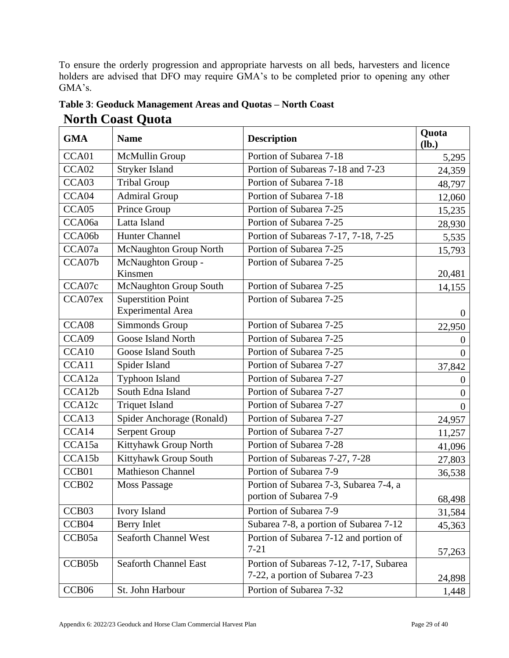To ensure the orderly progression and appropriate harvests on all beds, harvesters and licence holders are advised that DFO may require GMA's to be completed prior to opening any other GMA's.

| <b>GMA</b>        | <b>Name</b>                                           | <b>Description</b>                                                         | Quota<br>$(lb.)$ |
|-------------------|-------------------------------------------------------|----------------------------------------------------------------------------|------------------|
| CCA01             | McMullin Group                                        | Portion of Subarea 7-18                                                    | 5,295            |
| CCA <sub>02</sub> | Stryker Island                                        | Portion of Subareas 7-18 and 7-23                                          | 24,359           |
| CCA <sub>03</sub> | <b>Tribal Group</b>                                   | Portion of Subarea 7-18                                                    | 48,797           |
| CCA04             | <b>Admiral Group</b>                                  | Portion of Subarea 7-18                                                    | 12,060           |
| CCA <sub>05</sub> | Prince Group                                          | Portion of Subarea 7-25                                                    | 15,235           |
| CCA06a            | Latta Island                                          | Portion of Subarea 7-25                                                    | 28,930           |
| CCA06b            | <b>Hunter Channel</b>                                 | Portion of Subareas 7-17, 7-18, 7-25                                       | 5,535            |
| CCA07a            | McNaughton Group North                                | Portion of Subarea 7-25                                                    | 15,793           |
| CCA07b            | McNaughton Group -<br>Kinsmen                         | Portion of Subarea 7-25                                                    | 20,481           |
| CCA07c            | McNaughton Group South                                | Portion of Subarea 7-25                                                    | 14,155           |
| CCA07ex           | <b>Superstition Point</b><br><b>Experimental Area</b> | Portion of Subarea 7-25                                                    | $\theta$         |
| CCA08             | Simmonds Group                                        | Portion of Subarea 7-25                                                    | 22,950           |
| CCA09             | Goose Island North                                    | Portion of Subarea 7-25                                                    | $\theta$         |
| CCA <sub>10</sub> | Goose Island South                                    | Portion of Subarea 7-25                                                    | 0                |
| CCA11             | Spider Island                                         | Portion of Subarea 7-27                                                    | 37,842           |
| CCA12a            | Typhoon Island                                        | Portion of Subarea 7-27                                                    |                  |
| CCA12b            | South Edna Island                                     | Portion of Subarea 7-27                                                    |                  |
| CCA12c            | <b>Triquet Island</b>                                 | Portion of Subarea 7-27                                                    | $\overline{0}$   |
| CCA13             | Spider Anchorage (Ronald)                             | Portion of Subarea 7-27                                                    | 24,957           |
| CCA14             | Serpent Group                                         | Portion of Subarea 7-27                                                    | 11,257           |
| CCA15a            | Kittyhawk Group North                                 | Portion of Subarea 7-28                                                    | 41,096           |
| CCA15b            | Kittyhawk Group South                                 | Portion of Subareas 7-27, 7-28                                             | 27,803           |
| CCB01             | <b>Mathieson Channel</b>                              | Portion of Subarea 7-9                                                     | 36,538           |
| CCB <sub>02</sub> | <b>Moss Passage</b>                                   | Portion of Subarea 7-3, Subarea 7-4, a<br>portion of Subarea 7-9           | 68,498           |
| CCB <sub>03</sub> | Ivory Island                                          | Portion of Subarea 7-9                                                     | 31,584           |
| CCB <sub>04</sub> | Berry Inlet                                           | Subarea 7-8, a portion of Subarea 7-12                                     | 45,363           |
| CCB05a            | <b>Seaforth Channel West</b>                          | Portion of Subarea 7-12 and portion of<br>$7 - 21$                         | 57,263           |
| CCB05b            | <b>Seaforth Channel East</b>                          | Portion of Subareas 7-12, 7-17, Subarea<br>7-22, a portion of Subarea 7-23 | 24,898           |
| CCB <sub>06</sub> | St. John Harbour                                      | Portion of Subarea 7-32                                                    | 1,448            |

**Table 3**: **Geoduck Management Areas and Quotas – North Coast North Coast Quota**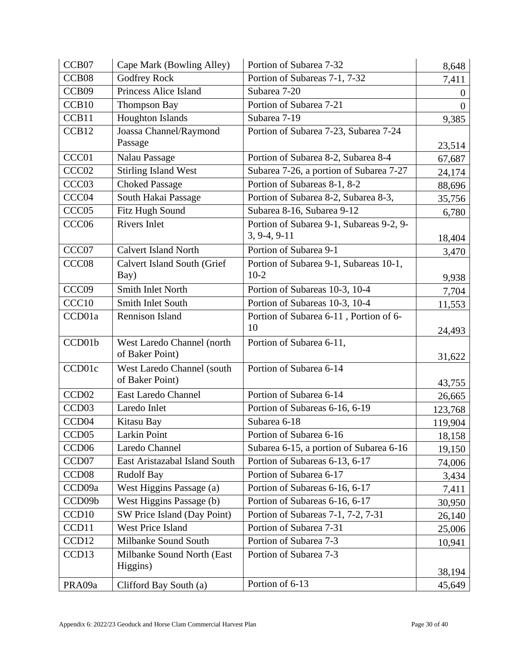| CCB07             | Cape Mark (Bowling Alley)     | Portion of Subarea 7-32                  | 8,648    |
|-------------------|-------------------------------|------------------------------------------|----------|
| CCB <sub>08</sub> | Godfrey Rock                  | Portion of Subareas 7-1, 7-32            | 7,411    |
| CCB <sub>09</sub> | Princess Alice Island         | Subarea 7-20                             | $\theta$ |
| CCB <sub>10</sub> | <b>Thompson Bay</b>           | Portion of Subarea 7-21                  | $\Omega$ |
| CCB11             | <b>Houghton Islands</b>       | Subarea 7-19                             | 9,385    |
| CCB12             | Joassa Channel/Raymond        | Portion of Subarea 7-23, Subarea 7-24    |          |
|                   | Passage                       |                                          | 23,514   |
| CCC01             | Nalau Passage                 | Portion of Subarea 8-2, Subarea 8-4      | 67,687   |
| CCC <sub>02</sub> | <b>Stirling Island West</b>   | Subarea 7-26, a portion of Subarea 7-27  | 24,174   |
| CCC <sub>03</sub> | <b>Choked Passage</b>         | Portion of Subareas 8-1, 8-2             | 88,696   |
| CCC04             | South Hakai Passage           | Portion of Subarea 8-2, Subarea 8-3,     | 35,756   |
| CCC <sub>05</sub> | Fitz Hugh Sound               | Subarea 8-16, Subarea 9-12               | 6,780    |
| CCC <sub>06</sub> | <b>Rivers Inlet</b>           | Portion of Subarea 9-1, Subareas 9-2, 9- |          |
|                   |                               | $3, 9-4, 9-11$                           | 18,404   |
| CCC07             | <b>Calvert Island North</b>   | Portion of Subarea 9-1                   | 3,470    |
| CCC <sub>08</sub> | Calvert Island South (Grief   | Portion of Subarea 9-1, Subareas 10-1,   |          |
|                   | Bay)                          | $10-2$                                   | 9,938    |
| CCC <sub>09</sub> | <b>Smith Inlet North</b>      | Portion of Subareas 10-3, 10-4           | 7,704    |
| CCC10             | <b>Smith Inlet South</b>      | Portion of Subareas 10-3, 10-4           | 11,553   |
| CCD01a            | Rennison Island               | Portion of Subarea 6-11, Portion of 6-   |          |
|                   |                               | 10                                       | 24,493   |
| CCD01b            | West Laredo Channel (north    | Portion of Subarea 6-11,                 |          |
|                   | of Baker Point)               |                                          | 31,622   |
| CCD01c            | West Laredo Channel (south    | Portion of Subarea 6-14                  |          |
|                   | of Baker Point)               |                                          | 43,755   |
| CCD <sub>02</sub> | <b>East Laredo Channel</b>    | Portion of Subarea 6-14                  | 26,665   |
| CCD <sub>03</sub> | Laredo Inlet                  | Portion of Subareas 6-16, 6-19           | 123,768  |
| CCD <sub>04</sub> | Kitasu Bay                    | Subarea 6-18                             | 119,904  |
| CCD <sub>05</sub> | Larkin Point                  | Portion of Subarea 6-16                  | 18,158   |
| CCD <sub>06</sub> | Laredo Channel                | Subarea 6-15, a portion of Subarea 6-16  | 19,150   |
| CCD <sub>07</sub> | East Aristazabal Island South | Portion of Subareas 6-13, 6-17           | 74,006   |
| CCD <sub>08</sub> | <b>Rudolf Bay</b>             | Portion of Subarea 6-17                  | 3,434    |
| CCD09a            | West Higgins Passage (a)      | Portion of Subareas 6-16, 6-17           | 7,411    |
| CCD09b            | West Higgins Passage (b)      | Portion of Subareas 6-16, 6-17           | 30,950   |
| CCD <sub>10</sub> | SW Price Island (Day Point)   | Portion of Subareas 7-1, 7-2, 7-31       | 26,140   |
| CCD <sub>11</sub> | <b>West Price Island</b>      | Portion of Subarea 7-31                  | 25,006   |
| CCD <sub>12</sub> | Milbanke Sound South          | Portion of Subarea 7-3                   | 10,941   |
| CCD13             | Milbanke Sound North (East    | Portion of Subarea 7-3                   |          |
|                   | Higgins)                      |                                          | 38,194   |
| PRA09a            | Clifford Bay South (a)        | Portion of 6-13                          | 45,649   |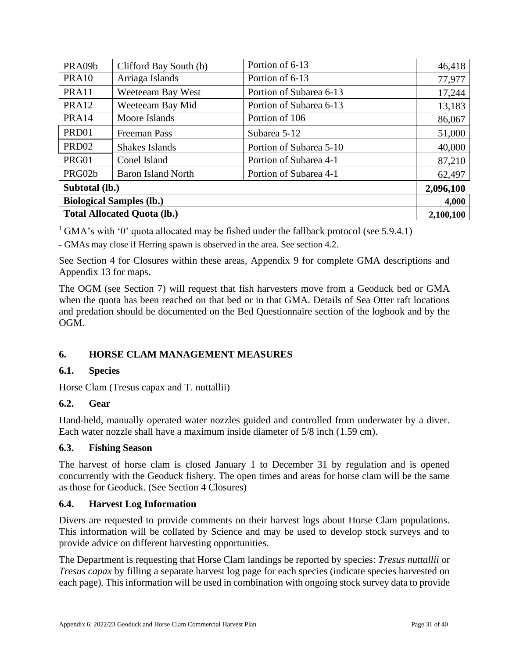| PRA09b                             | Clifford Bay South (b)    | Portion of 6-13         | 46,418    |
|------------------------------------|---------------------------|-------------------------|-----------|
| PRA <sub>10</sub>                  | Arriaga Islands           | Portion of 6-13         | 77,977    |
| PRA11                              | Weeteeam Bay West         | Portion of Subarea 6-13 | 17,244    |
| PRA <sub>12</sub>                  | Weeteeam Bay Mid          | Portion of Subarea 6-13 | 13,183    |
| PRA14                              | Moore Islands             | Portion of 106          | 86,067    |
| PRD <sub>01</sub>                  | <b>Freeman Pass</b>       | Subarea 5-12            | 51,000    |
| PRD <sub>02</sub>                  | <b>Shakes Islands</b>     | Portion of Subarea 5-10 | 40,000    |
| PRG01                              | Conel Island              | Portion of Subarea 4-1  | 87,210    |
| PRG02b                             | <b>Baron Island North</b> | Portion of Subarea 4-1  | 62,497    |
| Subtotal (lb.)                     |                           |                         | 2,096,100 |
| <b>Biological Samples (lb.)</b>    |                           |                         | 4,000     |
| <b>Total Allocated Quota (lb.)</b> |                           |                         | 2,100,100 |

 $1$  GMA's with '0' quota allocated may be fished under the fallback protocol (see 5.9.4.1)

- GMAs may close if Herring spawn is observed in the area. See section 4.2.

See Section 4 for Closures within these areas, Appendix 9 for complete GMA descriptions and Appendix 13 for maps.

The OGM (see Section 7) will request that fish harvesters move from a Geoduck bed or GMA when the quota has been reached on that bed or in that GMA. Details of Sea Otter raft locations and predation should be documented on the Bed Questionnaire section of the logbook and by the OGM.

# **6. HORSE CLAM MANAGEMENT MEASURES**

## **6.1. Species**

Horse Clam (Tresus capax and T. nuttallii)

## **6.2. Gear**

Hand-held, manually operated water nozzles guided and controlled from underwater by a diver. Each water nozzle shall have a maximum inside diameter of 5/8 inch (1.59 cm).

# **6.3. Fishing Season**

The harvest of horse clam is closed January 1 to December 31 by regulation and is opened concurrently with the Geoduck fishery. The open times and areas for horse clam will be the same as those for Geoduck. (See Section 4 Closures)

# **6.4. Harvest Log Information**

Divers are requested to provide comments on their harvest logs about Horse Clam populations. This information will be collated by Science and may be used to develop stock surveys and to provide advice on different harvesting opportunities.

The Department is requesting that Horse Clam landings be reported by species: *Tresus nuttallii* or *Tresus capax* by filling a separate harvest log page for each species (indicate species harvested on each page)*.* This information will be used in combination with ongoing stock survey data to provide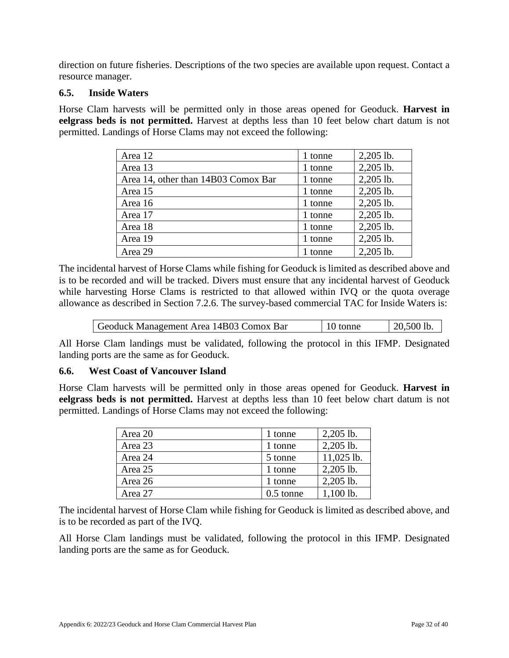direction on future fisheries. Descriptions of the two species are available upon request. Contact a resource manager.

## **6.5. Inside Waters**

Horse Clam harvests will be permitted only in those areas opened for Geoduck. **Harvest in eelgrass beds is not permitted.** Harvest at depths less than 10 feet below chart datum is not permitted. Landings of Horse Clams may not exceed the following:

| Area 12                             | 1 tonne | 2,205 lb. |
|-------------------------------------|---------|-----------|
| Area 13                             | 1 tonne | 2,205 lb. |
| Area 14, other than 14B03 Comox Bar | 1 tonne | 2,205 lb. |
| Area 15                             | 1 tonne | 2,205 lb. |
| Area 16                             | 1 tonne | 2,205 lb. |
| Area 17                             | 1 tonne | 2,205 lb. |
| Area 18                             | 1 tonne | 2,205 lb. |
| Area 19                             | 1 tonne | 2,205 lb. |
| Area 29                             | tonne   | 2,205 lb. |

The incidental harvest of Horse Clams while fishing for Geoduck is limited as described above and is to be recorded and will be tracked. Divers must ensure that any incidental harvest of Geoduck while harvesting Horse Clams is restricted to that allowed within IVQ or the quota overage allowance as described in Section 7.2.6. The survey-based commercial TAC for Inside Waters is:

| Geoduck Management Area 14B03 Comox Bar | 10 tonne | $\frac{1}{20,500}$ lb. |
|-----------------------------------------|----------|------------------------|
|-----------------------------------------|----------|------------------------|

All Horse Clam landings must be validated, following the protocol in this IFMP. Designated landing ports are the same as for Geoduck.

## **6.6. West Coast of Vancouver Island**

Horse Clam harvests will be permitted only in those areas opened for Geoduck. **Harvest in eelgrass beds is not permitted.** Harvest at depths less than 10 feet below chart datum is not permitted. Landings of Horse Clams may not exceed the following:

| Area 20 | 1 tonne     | 2,205 lb.    |
|---------|-------------|--------------|
| Area 23 | 1 tonne     | 2,205 lb.    |
| Area 24 | 5 tonne     | $11,025$ lb. |
| Area 25 | 1 tonne     | 2,205 lb.    |
| Area 26 | 1 tonne     | 2,205 lb.    |
| Area 27 | $0.5$ tonne | 1,100 lb.    |

The incidental harvest of Horse Clam while fishing for Geoduck is limited as described above, and is to be recorded as part of the IVQ.

All Horse Clam landings must be validated, following the protocol in this IFMP. Designated landing ports are the same as for Geoduck.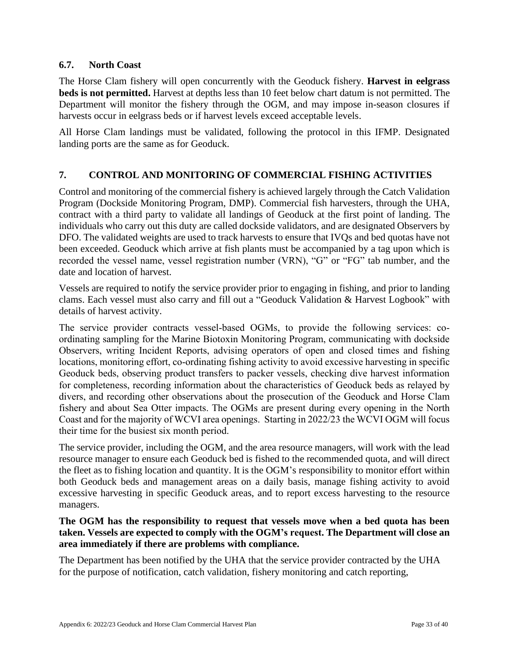## **6.7. North Coast**

The Horse Clam fishery will open concurrently with the Geoduck fishery. **Harvest in eelgrass beds is not permitted.** Harvest at depths less than 10 feet below chart datum is not permitted. The Department will monitor the fishery through the OGM, and may impose in-season closures if harvests occur in eelgrass beds or if harvest levels exceed acceptable levels.

All Horse Clam landings must be validated, following the protocol in this IFMP. Designated landing ports are the same as for Geoduck.

# **7. CONTROL AND MONITORING OF COMMERCIAL FISHING ACTIVITIES**

Control and monitoring of the commercial fishery is achieved largely through the Catch Validation Program (Dockside Monitoring Program, DMP). Commercial fish harvesters, through the UHA, contract with a third party to validate all landings of Geoduck at the first point of landing. The individuals who carry out this duty are called dockside validators, and are designated Observers by DFO. The validated weights are used to track harvests to ensure that IVQs and bed quotas have not been exceeded. Geoduck which arrive at fish plants must be accompanied by a tag upon which is recorded the vessel name, vessel registration number (VRN), "G" or "FG" tab number, and the date and location of harvest.

Vessels are required to notify the service provider prior to engaging in fishing, and prior to landing clams. Each vessel must also carry and fill out a "Geoduck Validation & Harvest Logbook" with details of harvest activity.

The service provider contracts vessel-based OGMs, to provide the following services: coordinating sampling for the Marine Biotoxin Monitoring Program, communicating with dockside Observers, writing Incident Reports, advising operators of open and closed times and fishing locations, monitoring effort, co-ordinating fishing activity to avoid excessive harvesting in specific Geoduck beds, observing product transfers to packer vessels, checking dive harvest information for completeness, recording information about the characteristics of Geoduck beds as relayed by divers, and recording other observations about the prosecution of the Geoduck and Horse Clam fishery and about Sea Otter impacts. The OGMs are present during every opening in the North Coast and for the majority of WCVI area openings. Starting in 2022/23 the WCVI OGM will focus their time for the busiest six month period.

The service provider, including the OGM, and the area resource managers, will work with the lead resource manager to ensure each Geoduck bed is fished to the recommended quota, and will direct the fleet as to fishing location and quantity. It is the OGM's responsibility to monitor effort within both Geoduck beds and management areas on a daily basis, manage fishing activity to avoid excessive harvesting in specific Geoduck areas, and to report excess harvesting to the resource managers.

# **The OGM has the responsibility to request that vessels move when a bed quota has been taken. Vessels are expected to comply with the OGM's request. The Department will close an area immediately if there are problems with compliance.**

The Department has been notified by the UHA that the service provider contracted by the UHA for the purpose of notification, catch validation, fishery monitoring and catch reporting,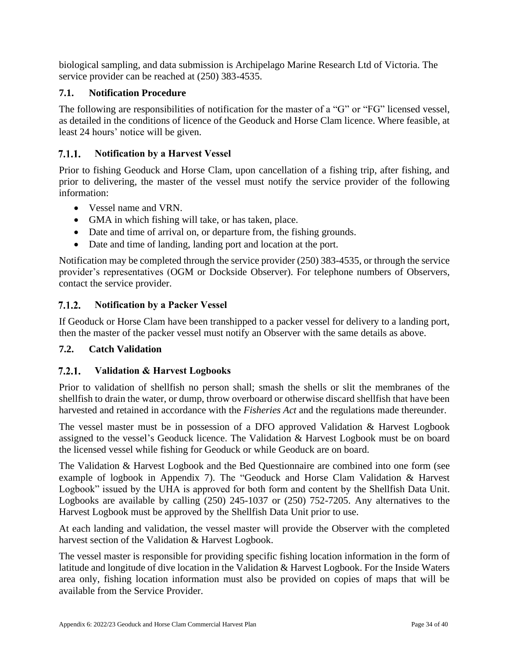biological sampling, and data submission is Archipelago Marine Research Ltd of Victoria. The service provider can be reached at (250) 383-4535.

# **7.1. Notification Procedure**

The following are responsibilities of notification for the master of a "G" or "FG" licensed vessel, as detailed in the conditions of licence of the Geoduck and Horse Clam licence. Where feasible, at least 24 hours' notice will be given.

### 7.1.1. **Notification by a Harvest Vessel**

Prior to fishing Geoduck and Horse Clam, upon cancellation of a fishing trip, after fishing, and prior to delivering, the master of the vessel must notify the service provider of the following information:

- Vessel name and VRN.
- GMA in which fishing will take, or has taken, place.
- Date and time of arrival on, or departure from, the fishing grounds.
- Date and time of landing, landing port and location at the port.

Notification may be completed through the service provider (250) 383-4535, or through the service provider's representatives (OGM or Dockside Observer). For telephone numbers of Observers, contact the service provider.

### $7.1.2.$ **Notification by a Packer Vessel**

If Geoduck or Horse Clam have been transhipped to a packer vessel for delivery to a landing port, then the master of the packer vessel must notify an Observer with the same details as above.

# **7.2. Catch Validation**

### $7.2.1.$ **Validation & Harvest Logbooks**

Prior to validation of shellfish no person shall; smash the shells or slit the membranes of the shellfish to drain the water, or dump, throw overboard or otherwise discard shellfish that have been harvested and retained in accordance with the *Fisheries Act* and the regulations made thereunder.

The vessel master must be in possession of a DFO approved Validation & Harvest Logbook assigned to the vessel's Geoduck licence. The Validation & Harvest Logbook must be on board the licensed vessel while fishing for Geoduck or while Geoduck are on board.

The Validation & Harvest Logbook and the Bed Questionnaire are combined into one form (see example of logbook in Appendix 7). The "Geoduck and Horse Clam Validation & Harvest Logbook" issued by the UHA is approved for both form and content by the Shellfish Data Unit. Logbooks are available by calling (250) 245-1037 or (250) 752-7205. Any alternatives to the Harvest Logbook must be approved by the Shellfish Data Unit prior to use.

At each landing and validation, the vessel master will provide the Observer with the completed harvest section of the Validation & Harvest Logbook.

The vessel master is responsible for providing specific fishing location information in the form of latitude and longitude of dive location in the Validation & Harvest Logbook. For the Inside Waters area only, fishing location information must also be provided on copies of maps that will be available from the Service Provider.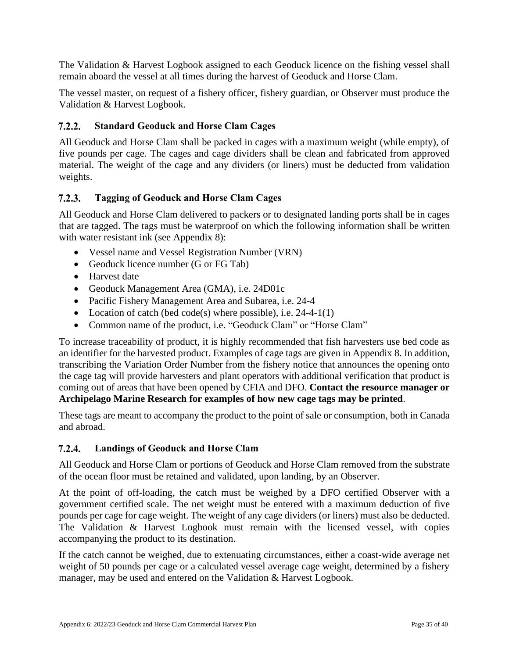The Validation & Harvest Logbook assigned to each Geoduck licence on the fishing vessel shall remain aboard the vessel at all times during the harvest of Geoduck and Horse Clam.

The vessel master, on request of a fishery officer, fishery guardian, or Observer must produce the Validation & Harvest Logbook.

### $7.2.2.$ **Standard Geoduck and Horse Clam Cages**

All Geoduck and Horse Clam shall be packed in cages with a maximum weight (while empty), of five pounds per cage. The cages and cage dividers shall be clean and fabricated from approved material. The weight of the cage and any dividers (or liners) must be deducted from validation weights.

### $7.2.3.$ **Tagging of Geoduck and Horse Clam Cages**

All Geoduck and Horse Clam delivered to packers or to designated landing ports shall be in cages that are tagged. The tags must be waterproof on which the following information shall be written with water resistant ink (see Appendix 8):

- Vessel name and Vessel Registration Number (VRN)
- Geoduck licence number (G or FG Tab)
- Harvest date
- Geoduck Management Area (GMA), i.e. 24D01c
- Pacific Fishery Management Area and Subarea, i.e. 24-4
- Location of catch (bed code(s) where possible), i.e.  $24-4-1(1)$
- Common name of the product, i.e. "Geoduck Clam" or "Horse Clam"

To increase traceability of product, it is highly recommended that fish harvesters use bed code as an identifier for the harvested product. Examples of cage tags are given in Appendix 8. In addition, transcribing the Variation Order Number from the fishery notice that announces the opening onto the cage tag will provide harvesters and plant operators with additional verification that product is coming out of areas that have been opened by CFIA and DFO. **Contact the resource manager or Archipelago Marine Research for examples of how new cage tags may be printed**.

These tags are meant to accompany the product to the point of sale or consumption, both in Canada and abroad.

### $7.2.4.$ **Landings of Geoduck and Horse Clam**

All Geoduck and Horse Clam or portions of Geoduck and Horse Clam removed from the substrate of the ocean floor must be retained and validated, upon landing, by an Observer.

At the point of off-loading, the catch must be weighed by a DFO certified Observer with a government certified scale. The net weight must be entered with a maximum deduction of five pounds per cage for cage weight. The weight of any cage dividers (or liners) must also be deducted. The Validation & Harvest Logbook must remain with the licensed vessel, with copies accompanying the product to its destination.

If the catch cannot be weighed, due to extenuating circumstances, either a coast-wide average net weight of 50 pounds per cage or a calculated vessel average cage weight, determined by a fishery manager, may be used and entered on the Validation & Harvest Logbook.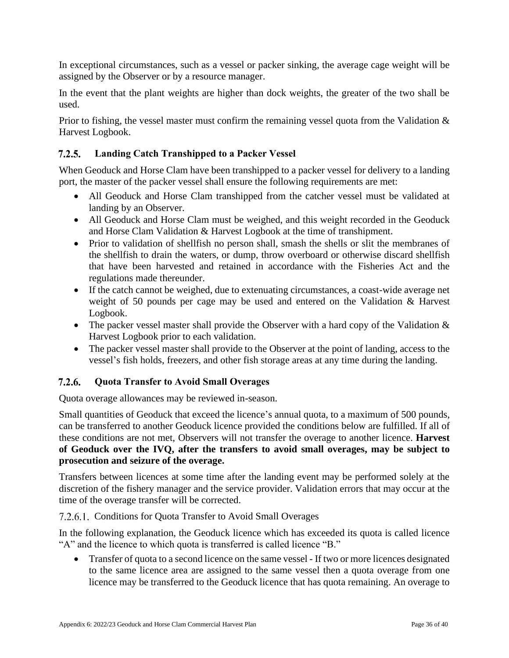In exceptional circumstances, such as a vessel or packer sinking, the average cage weight will be assigned by the Observer or by a resource manager.

In the event that the plant weights are higher than dock weights, the greater of the two shall be used.

Prior to fishing, the vessel master must confirm the remaining vessel quota from the Validation  $\&$ Harvest Logbook.

### $7.2.5.$ **Landing Catch Transhipped to a Packer Vessel**

When Geoduck and Horse Clam have been transhipped to a packer vessel for delivery to a landing port, the master of the packer vessel shall ensure the following requirements are met:

- All Geoduck and Horse Clam transhipped from the catcher vessel must be validated at landing by an Observer.
- All Geoduck and Horse Clam must be weighed, and this weight recorded in the Geoduck and Horse Clam Validation & Harvest Logbook at the time of transhipment.
- Prior to validation of shellfish no person shall, smash the shells or slit the membranes of the shellfish to drain the waters, or dump, throw overboard or otherwise discard shellfish that have been harvested and retained in accordance with the Fisheries Act and the regulations made thereunder.
- If the catch cannot be weighed, due to extenuating circumstances, a coast-wide average net weight of 50 pounds per cage may be used and entered on the Validation & Harvest Logbook.
- The packer vessel master shall provide the Observer with a hard copy of the Validation  $\&$ Harvest Logbook prior to each validation.
- The packer vessel master shall provide to the Observer at the point of landing, access to the vessel's fish holds, freezers, and other fish storage areas at any time during the landing.

### $7.2.6.$ **Quota Transfer to Avoid Small Overages**

Quota overage allowances may be reviewed in-season.

Small quantities of Geoduck that exceed the licence's annual quota, to a maximum of 500 pounds, can be transferred to another Geoduck licence provided the conditions below are fulfilled. If all of these conditions are not met, Observers will not transfer the overage to another licence. **Harvest of Geoduck over the IVQ, after the transfers to avoid small overages, may be subject to prosecution and seizure of the overage.**

Transfers between licences at some time after the landing event may be performed solely at the discretion of the fishery manager and the service provider. Validation errors that may occur at the time of the overage transfer will be corrected.

# 7.2.6.1. Conditions for Quota Transfer to Avoid Small Overages

In the following explanation, the Geoduck licence which has exceeded its quota is called licence "A" and the licence to which quota is transferred is called licence "B."

• Transfer of quota to a second licence on the same vessel - If two or more licences designated to the same licence area are assigned to the same vessel then a quota overage from one licence may be transferred to the Geoduck licence that has quota remaining. An overage to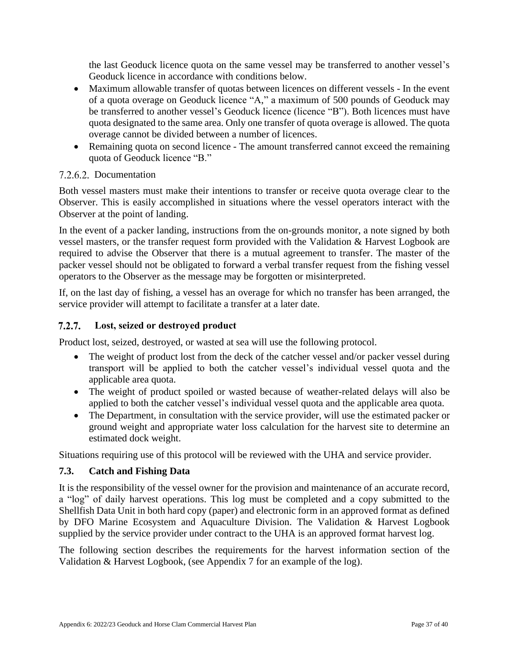the last Geoduck licence quota on the same vessel may be transferred to another vessel's Geoduck licence in accordance with conditions below.

- Maximum allowable transfer of quotas between licences on different vessels In the event of a quota overage on Geoduck licence "A," a maximum of 500 pounds of Geoduck may be transferred to another vessel's Geoduck licence (licence "B"). Both licences must have quota designated to the same area. Only one transfer of quota overage is allowed. The quota overage cannot be divided between a number of licences.
- Remaining quota on second licence The amount transferred cannot exceed the remaining quota of Geoduck licence "B."

# 7.2.6.2. Documentation

Both vessel masters must make their intentions to transfer or receive quota overage clear to the Observer. This is easily accomplished in situations where the vessel operators interact with the Observer at the point of landing.

In the event of a packer landing, instructions from the on-grounds monitor, a note signed by both vessel masters, or the transfer request form provided with the Validation & Harvest Logbook are required to advise the Observer that there is a mutual agreement to transfer. The master of the packer vessel should not be obligated to forward a verbal transfer request from the fishing vessel operators to the Observer as the message may be forgotten or misinterpreted.

If, on the last day of fishing, a vessel has an overage for which no transfer has been arranged, the service provider will attempt to facilitate a transfer at a later date.

### $7.2.7.$ **Lost, seized or destroyed product**

Product lost, seized, destroyed, or wasted at sea will use the following protocol.

- The weight of product lost from the deck of the catcher vessel and/or packer vessel during transport will be applied to both the catcher vessel's individual vessel quota and the applicable area quota.
- The weight of product spoiled or wasted because of weather-related delays will also be applied to both the catcher vessel's individual vessel quota and the applicable area quota.
- The Department, in consultation with the service provider, will use the estimated packer or ground weight and appropriate water loss calculation for the harvest site to determine an estimated dock weight.

Situations requiring use of this protocol will be reviewed with the UHA and service provider.

# **7.3. Catch and Fishing Data**

It is the responsibility of the vessel owner for the provision and maintenance of an accurate record, a "log" of daily harvest operations. This log must be completed and a copy submitted to the Shellfish Data Unit in both hard copy (paper) and electronic form in an approved format as defined by DFO Marine Ecosystem and Aquaculture Division. The Validation & Harvest Logbook supplied by the service provider under contract to the UHA is an approved format harvest log.

The following section describes the requirements for the harvest information section of the Validation & Harvest Logbook, (see Appendix 7 for an example of the log).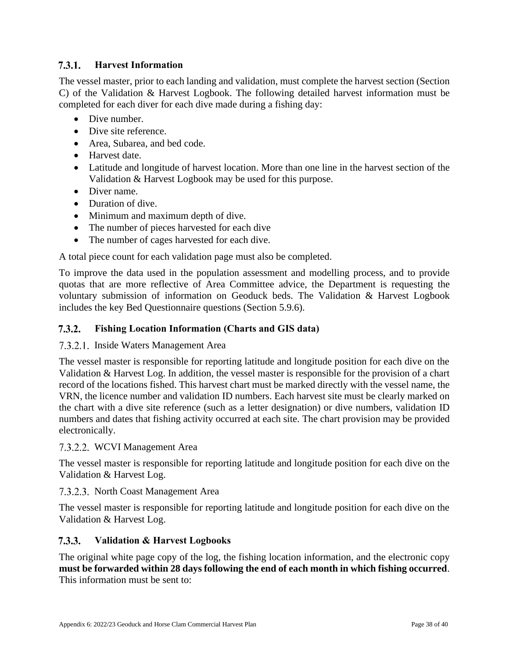### $7.3.1.$ **Harvest Information**

The vessel master, prior to each landing and validation, must complete the harvest section (Section C) of the Validation & Harvest Logbook. The following detailed harvest information must be completed for each diver for each dive made during a fishing day:

- Dive number.
- Dive site reference.
- Area, Subarea, and bed code.
- Harvest date.
- Latitude and longitude of harvest location. More than one line in the harvest section of the Validation & Harvest Logbook may be used for this purpose.
- Diver name.
- Duration of dive.
- Minimum and maximum depth of dive.
- The number of pieces harvested for each dive
- The number of cages harvested for each dive.

A total piece count for each validation page must also be completed.

To improve the data used in the population assessment and modelling process, and to provide quotas that are more reflective of Area Committee advice, the Department is requesting the voluntary submission of information on Geoduck beds. The Validation & Harvest Logbook includes the key Bed Questionnaire questions (Section 5.9.6).

### $7.3.2.$ **Fishing Location Information (Charts and GIS data)**

# 7.3.2.1. Inside Waters Management Area

The vessel master is responsible for reporting latitude and longitude position for each dive on the Validation & Harvest Log. In addition, the vessel master is responsible for the provision of a chart record of the locations fished. This harvest chart must be marked directly with the vessel name, the VRN, the licence number and validation ID numbers. Each harvest site must be clearly marked on the chart with a dive site reference (such as a letter designation) or dive numbers, validation ID numbers and dates that fishing activity occurred at each site. The chart provision may be provided electronically.

# 7.3.2.2. WCVI Management Area

The vessel master is responsible for reporting latitude and longitude position for each dive on the Validation & Harvest Log.

## 7.3.2.3. North Coast Management Area

The vessel master is responsible for reporting latitude and longitude position for each dive on the Validation & Harvest Log.

### $7.3.3.$ **Validation & Harvest Logbooks**

The original white page copy of the log, the fishing location information, and the electronic copy **must be forwarded within 28 days following the end of each month in which fishing occurred**. This information must be sent to: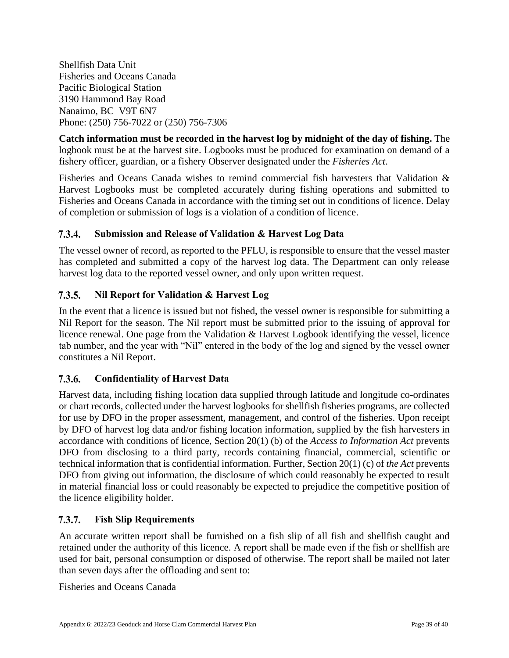Shellfish Data Unit Fisheries and Oceans Canada Pacific Biological Station 3190 Hammond Bay Road Nanaimo, BC V9T 6N7 Phone: (250) 756-7022 or (250) 756-7306

**Catch information must be recorded in the harvest log by midnight of the day of fishing.** The logbook must be at the harvest site. Logbooks must be produced for examination on demand of a fishery officer, guardian, or a fishery Observer designated under the *Fisheries Act*.

Fisheries and Oceans Canada wishes to remind commercial fish harvesters that Validation & Harvest Logbooks must be completed accurately during fishing operations and submitted to Fisheries and Oceans Canada in accordance with the timing set out in conditions of licence. Delay of completion or submission of logs is a violation of a condition of licence.

### $7.3.4.$ **Submission and Release of Validation & Harvest Log Data**

The vessel owner of record, as reported to the PFLU, is responsible to ensure that the vessel master has completed and submitted a copy of the harvest log data. The Department can only release harvest log data to the reported vessel owner, and only upon written request.

### **Nil Report for Validation & Harvest Log**  $7.3.5.$

In the event that a licence is issued but not fished, the vessel owner is responsible for submitting a Nil Report for the season. The Nil report must be submitted prior to the issuing of approval for licence renewal. One page from the Validation & Harvest Logbook identifying the vessel, licence tab number, and the year with "Nil" entered in the body of the log and signed by the vessel owner constitutes a Nil Report.

### 7.3.6. **Confidentiality of Harvest Data**

Harvest data, including fishing location data supplied through latitude and longitude co-ordinates or chart records, collected under the harvest logbooks for shellfish fisheries programs, are collected for use by DFO in the proper assessment, management, and control of the fisheries. Upon receipt by DFO of harvest log data and/or fishing location information, supplied by the fish harvesters in accordance with conditions of licence, Section 20(1) (b) of the *Access to Information Act* prevents DFO from disclosing to a third party, records containing financial, commercial, scientific or technical information that is confidential information. Further, Section 20(1) (c) of *the Act* prevents DFO from giving out information, the disclosure of which could reasonably be expected to result in material financial loss or could reasonably be expected to prejudice the competitive position of the licence eligibility holder.

### $7.3.7.$ **Fish Slip Requirements**

An accurate written report shall be furnished on a fish slip of all fish and shellfish caught and retained under the authority of this licence. A report shall be made even if the fish or shellfish are used for bait, personal consumption or disposed of otherwise. The report shall be mailed not later than seven days after the offloading and sent to:

Fisheries and Oceans Canada